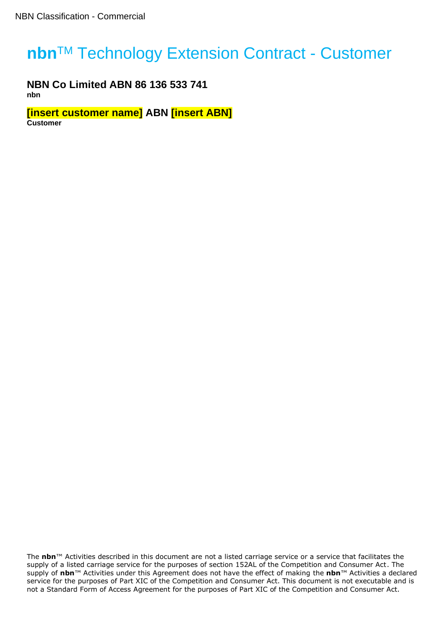# **nbn<sup>™</sup> Technology Extension Contract - Customer**

**NBN Co Limited ABN 86 136 533 741 nbn**

**[insert customer name] ABN [insert ABN] Customer**

The **nbn**™ Activities described in this document are not a listed carriage service or a service that facilitates the supply of a listed carriage service for the purposes of section 152AL of the Competition and Consumer Act. The supply of **nbn**™ Activities under this Agreement does not have the effect of making the **nbn**™ Activities a declared service for the purposes of Part XIC of the Competition and Consumer Act. This document is not executable and is not a Standard Form of Access Agreement for the purposes of Part XIC of the Competition and Consumer Act.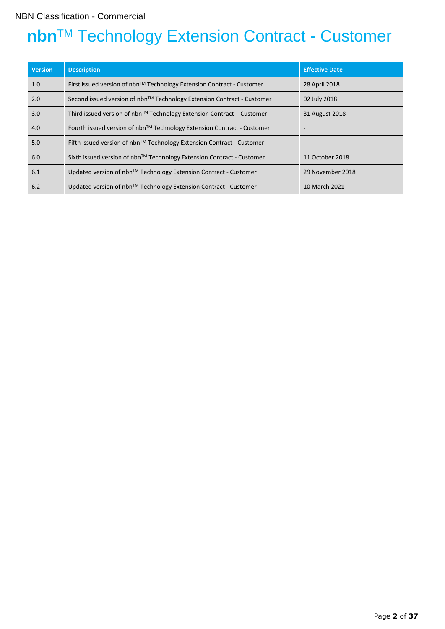## NBN Classification - Commercial

# **nbn™ Technology Extension Contract - Customer**

| <b>Version</b> | <b>Description</b>                                                           | <b>Effective Date</b> |
|----------------|------------------------------------------------------------------------------|-----------------------|
| 1.0            | First issued version of $nbn™$ Technology Extension Contract - Customer      | 28 April 2018         |
| 2.0            | Second issued version of nbn™ Technology Extension Contract - Customer       | 02 July 2018          |
| 3.0            | Third issued version of $nbn^{TM}$ Technology Extension Contract – Customer  | 31 August 2018        |
| 4.0            | Fourth issued version of $nbn^{TM}$ Technology Extension Contract - Customer |                       |
| 5.0            | Fifth issued version of $nbn^{TM}$ Technology Extension Contract - Customer  |                       |
| 6.0            | Sixth issued version of $nbn^{TM}$ Technology Extension Contract - Customer  | 11 October 2018       |
| 6.1            | Updated version of nbn <sup>™</sup> Technology Extension Contract - Customer | 29 November 2018      |
| 6.2            | Updated version of nbn™ Technology Extension Contract - Customer             | 10 March 2021         |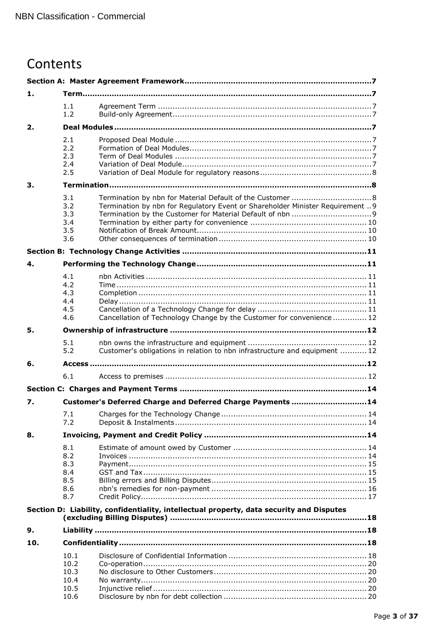## Contents

| 1.  |                                               |                                                                                          |  |  |  |
|-----|-----------------------------------------------|------------------------------------------------------------------------------------------|--|--|--|
|     | 1.1<br>1.2                                    |                                                                                          |  |  |  |
| 2.  |                                               |                                                                                          |  |  |  |
|     | 2.1<br>2.2<br>2.3<br>2.4<br>2.5               |                                                                                          |  |  |  |
| 3.  |                                               |                                                                                          |  |  |  |
|     | 3.1<br>3.2<br>3.3<br>3.4<br>3.5<br>3.6        | Termination by nbn for Regulatory Event or Shareholder Minister Requirement  9           |  |  |  |
| 4.  |                                               |                                                                                          |  |  |  |
|     | 4.1<br>4.2<br>4.3<br>4.4<br>4.5<br>4.6        | Cancellation of Technology Change by the Customer for convenience  12                    |  |  |  |
| 5.  |                                               |                                                                                          |  |  |  |
|     | 5.1<br>5.2                                    | Customer's obligations in relation to nbn infrastructure and equipment  12               |  |  |  |
| 6.  |                                               |                                                                                          |  |  |  |
|     | 6.1                                           |                                                                                          |  |  |  |
|     |                                               |                                                                                          |  |  |  |
| 7.  |                                               | Customer's Deferred Charge and Deferred Charge Payments 14                               |  |  |  |
|     | 7.1<br>7.2                                    |                                                                                          |  |  |  |
| 8.  |                                               |                                                                                          |  |  |  |
|     | 8.1<br>8.2<br>8.3<br>8.4<br>8.5<br>8.6<br>8.7 |                                                                                          |  |  |  |
|     |                                               | Section D: Liability, confidentiality, intellectual property, data security and Disputes |  |  |  |
| 9.  |                                               |                                                                                          |  |  |  |
| 10. |                                               |                                                                                          |  |  |  |
|     | 10.1<br>10.2<br>10.3<br>10.4<br>10.5<br>10.6  |                                                                                          |  |  |  |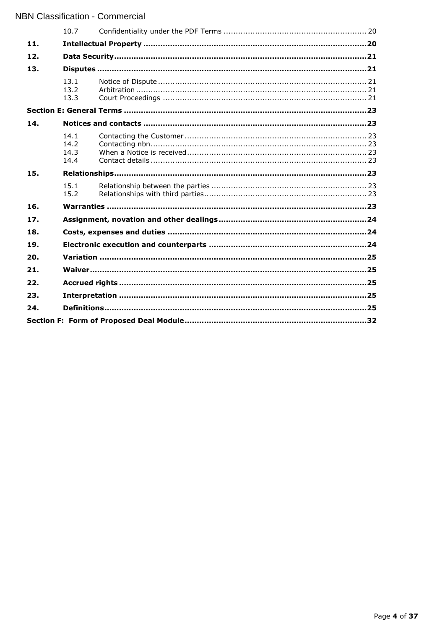|     | 10.7                         |  |  |  |  |
|-----|------------------------------|--|--|--|--|
| 11. |                              |  |  |  |  |
| 12. |                              |  |  |  |  |
| 13. |                              |  |  |  |  |
|     | 13.1<br>13.2<br>13.3         |  |  |  |  |
|     |                              |  |  |  |  |
| 14. |                              |  |  |  |  |
|     | 14.1<br>14.2<br>14.3<br>14.4 |  |  |  |  |
| 15. |                              |  |  |  |  |
|     | 15.1<br>15.2                 |  |  |  |  |
| 16. |                              |  |  |  |  |
| 17. |                              |  |  |  |  |
| 18. |                              |  |  |  |  |
| 19. |                              |  |  |  |  |
| 20. |                              |  |  |  |  |
| 21. |                              |  |  |  |  |
| 22. |                              |  |  |  |  |
| 23. |                              |  |  |  |  |
| 24. |                              |  |  |  |  |
|     |                              |  |  |  |  |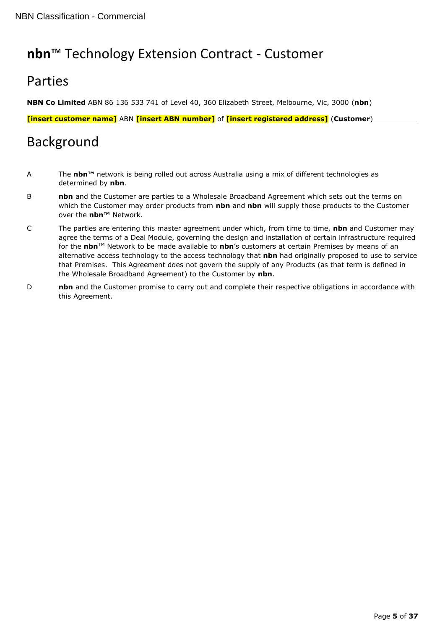## **nbn**™ Technology Extension Contract - Customer

## Parties

**NBN Co Limited** ABN 86 136 533 741 of Level 40, 360 Elizabeth Street, Melbourne, Vic, 3000 (**nbn**)

**[insert customer name]** ABN **[insert ABN number]** of **[insert registered address]** (**Customer**)

## Background

- A The **nbn™** network is being rolled out across Australia using a mix of different technologies as determined by **nbn**.
- **B nbn** and the Customer are parties to a Wholesale Broadband Agreement which sets out the terms on which the Customer may order products from **nbn** and **nbn** will supply those products to the Customer over the **nbn™** Network.
- C The parties are entering this master agreement under which, from time to time, **nbn** and Customer may agree the terms of a Deal Module, governing the design and installation of certain infrastructure required for the **nbn**TM Network to be made available to **nbn**'s customers at certain Premises by means of an alternative access technology to the access technology that **nbn** had originally proposed to use to service that Premises. This Agreement does not govern the supply of any Products (as that term is defined in the Wholesale Broadband Agreement) to the Customer by **nbn**.
- D **nbn** and the Customer promise to carry out and complete their respective obligations in accordance with this Agreement.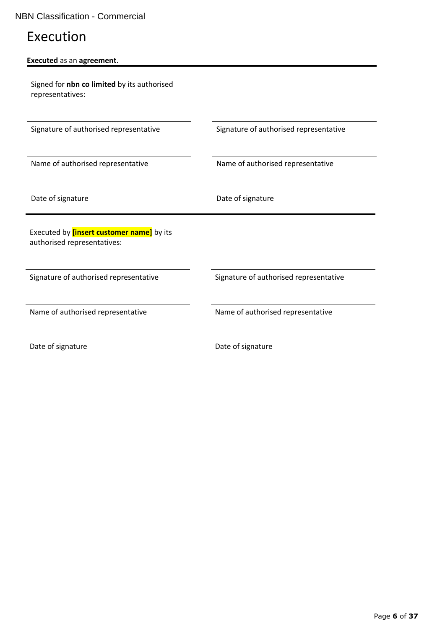## Execution

| Executed as an agreement.                   |  |  |  |  |
|---------------------------------------------|--|--|--|--|
| Signed for nbn co limited by its authorised |  |  |  |  |
| representatives:                            |  |  |  |  |

Signature of authorised representative Signature of authorised representative

Name of authorised representative Name of authorised representative

Date of signature **Date of signature** Date of signature

Executed by **[insert customer name]** by its authorised representatives:

Signature of authorised representative Signature of authorised representative

Name of authorised representative Name of authorised representative

Date of signature Date of signature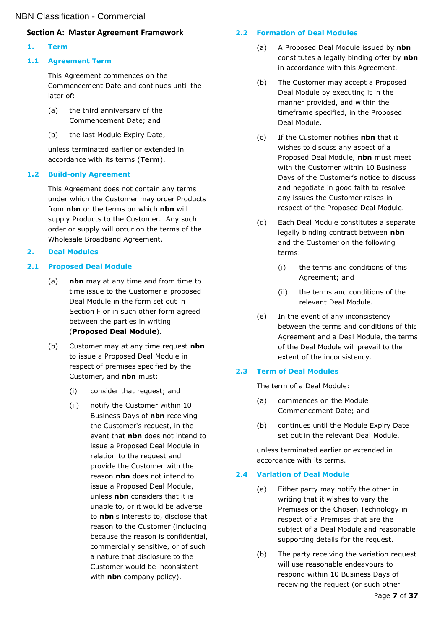## <span id="page-6-0"></span>**Section A: Master Agreement Framework**

## <span id="page-6-1"></span>**1. Term**

## <span id="page-6-2"></span>**1.1 Agreement Term**

This Agreement commences on the Commencement Date and continues until the later of:

- (a) the third anniversary of the Commencement Date; and
- (b) the last Module Expiry Date,

unless terminated earlier or extended in accordance with its terms (**Term**).

## <span id="page-6-3"></span>**1.2 Build-only Agreement**

This Agreement does not contain any terms under which the Customer may order Products from **nbn** or the terms on which **nbn** will supply Products to the Customer. Any such order or supply will occur on the terms of the Wholesale Broadband Agreement.

## <span id="page-6-4"></span>**2. Deal Modules**

## <span id="page-6-5"></span>**2.1 Proposed Deal Module**

- (a) **nbn** may at any time and from time to time issue to the Customer a proposed Deal Module in the form set out in Section F or in such other form agreed between the parties in writing (**Proposed Deal Module**).
- (b) Customer may at any time request **nbn** to issue a Proposed Deal Module in respect of premises specified by the Customer, and **nbn** must:
	- (i) consider that request; and
	- (ii) notify the Customer within 10 Business Days of **nbn** receiving the Customer's request, in the event that **nbn** does not intend to issue a Proposed Deal Module in relation to the request and provide the Customer with the reason **nbn** does not intend to issue a Proposed Deal Module, unless **nbn** considers that it is unable to, or it would be adverse to **nbn**'s interests to, disclose that reason to the Customer (including because the reason is confidential, commercially sensitive, or of such a nature that disclosure to the Customer would be inconsistent with **nbn** company policy).

## <span id="page-6-6"></span>**2.2 Formation of Deal Modules**

- (a) A Proposed Deal Module issued by **nbn** constitutes a legally binding offer by **nbn** in accordance with this Agreement.
- (b) The Customer may accept a Proposed Deal Module by executing it in the manner provided, and within the timeframe specified, in the Proposed Deal Module.
- (c) If the Customer notifies **nbn** that it wishes to discuss any aspect of a Proposed Deal Module, **nbn** must meet with the Customer within 10 Business Days of the Customer's notice to discuss and negotiate in good faith to resolve any issues the Customer raises in respect of the Proposed Deal Module.
- (d) Each Deal Module constitutes a separate legally binding contract between **nbn** and the Customer on the following terms:
	- (i) the terms and conditions of this Agreement; and
	- (ii) the terms and conditions of the relevant Deal Module.
- (e) In the event of any inconsistency between the terms and conditions of this Agreement and a Deal Module, the terms of the Deal Module will prevail to the extent of the inconsistency.

## <span id="page-6-7"></span>**2.3 Term of Deal Modules**

The term of a Deal Module:

- (a) commences on the Module Commencement Date; and
- (b) continues until the Module Expiry Date set out in the relevant Deal Module,

unless terminated earlier or extended in accordance with its terms.

## <span id="page-6-9"></span><span id="page-6-8"></span>**2.4 Variation of Deal Module**

- (a) Either party may notify the other in writing that it wishes to vary the Premises or the Chosen Technology in respect of a Premises that are the subject of a Deal Module and reasonable supporting details for the request.
- (b) The party receiving the variation request will use reasonable endeavours to respond within 10 Business Days of receiving the request (or such other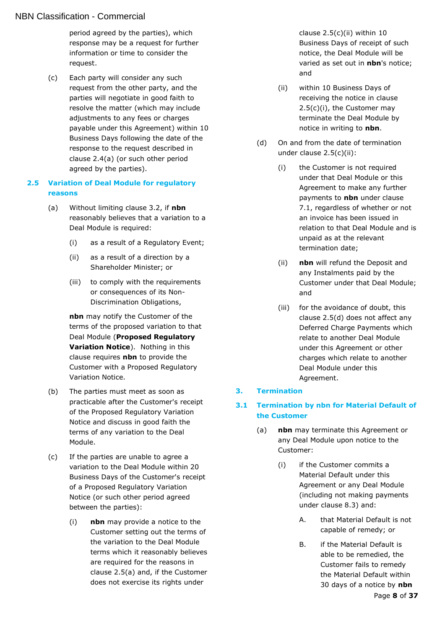### NBN Classification - Commercial

period agreed by the parties), which response may be a request for further information or time to consider the request.

(c) Each party will consider any such request from the other party, and the parties will negotiate in good faith to resolve the matter (which may include adjustments to any fees or charges payable under this Agreement) within 10 Business Days following the date of the response to the request described in clause [2.4\(a\)](#page-6-9) (or such other period agreed by the parties).

#### <span id="page-7-0"></span>**2.5 Variation of Deal Module for regulatory reasons**

- <span id="page-7-3"></span>(a) Without limiting clause [3.2,](#page-8-0) if **nbn** reasonably believes that a variation to a Deal Module is required:
	- (i) as a result of a Regulatory Event;
	- (ii) as a result of a direction by a Shareholder Minister; or
	- (iii) to comply with the requirements or consequences of its Non-Discrimination Obligations,

**nbn** may notify the Customer of the terms of the proposed variation to that Deal Module (**Proposed Regulatory Variation Notice**). Nothing in this clause requires **nbn** to provide the Customer with a Proposed Regulatory Variation Notice.

- (b) The parties must meet as soon as practicable after the Customer's receipt of the Proposed Regulatory Variation Notice and discuss in good faith the terms of any variation to the Deal Module.
- <span id="page-7-5"></span>(c) If the parties are unable to agree a variation to the Deal Module within 20 Business Days of the Customer's receipt of a Proposed Regulatory Variation Notice (or such other period agreed between the parties):
	- (i) **nbn** may provide a notice to the Customer setting out the terms of the variation to the Deal Module terms which it reasonably believes are required for the reasons in clause [2.5\(a\)](#page-7-3) and, if the Customer does not exercise its rights under

clause [2.5\(c\)\(ii\)](#page-7-4) within 10 Business Days of receipt of such notice, the Deal Module will be varied as set out in **nbn**'s notice; and

- <span id="page-7-4"></span>(ii) within 10 Business Days of receiving the notice in clause [2.5\(c\)\(i\),](#page-7-5) the Customer may terminate the Deal Module by notice in writing to **nbn**.
- <span id="page-7-6"></span>(d) On and from the date of termination under clause [2.5\(c\)\(ii\):](#page-7-4)
	- (i) the Customer is not required under that Deal Module or this Agreement to make any further payments to **nbn** under clause [7.1,](#page-13-2) regardless of whether or not an invoice has been issued in relation to that Deal Module and is unpaid as at the relevant termination date;
	- (ii) **nbn** will refund the Deposit and any Instalments paid by the Customer under that Deal Module; and
	- (iii) for the avoidance of doubt, this clause [2.5\(d\)](#page-7-6) does not affect any Deferred Charge Payments which relate to another Deal Module under this Agreement or other charges which relate to another Deal Module under this Agreement.

#### <span id="page-7-1"></span>**3. Termination**

### <span id="page-7-2"></span>**3.1 Termination by nbn for Material Default of the Customer**

- <span id="page-7-7"></span>(a) **nbn** may terminate this Agreement or any Deal Module upon notice to the Customer:
	- (i) if the Customer commits a Material Default under this Agreement or any Deal Module (including not making payments under clause [8.3\)](#page-14-0) and:
		- A. that Material Default is not capable of remedy; or
		- B. if the Material Default is able to be remedied, the Customer fails to remedy the Material Default within 30 days of a notice by **nbn**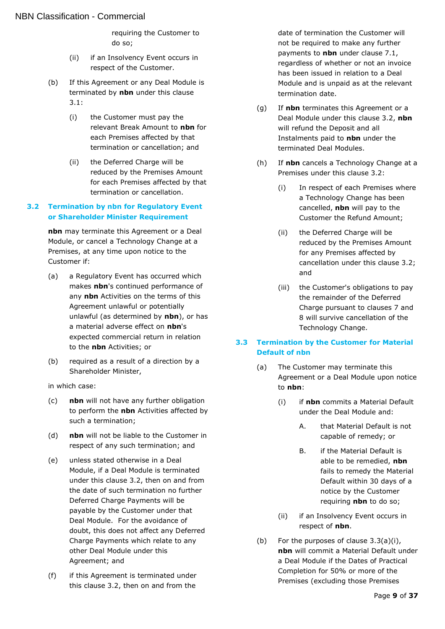requiring the Customer to do so;

- (ii) if an Insolvency Event occurs in respect of the Customer.
- (b) If this Agreement or any Deal Module is terminated by **nbn** under this clause [3.1:](#page-7-2)
	- (i) the Customer must pay the relevant Break Amount to **nbn** for each Premises affected by that termination or cancellation; and
	- (ii) the Deferred Charge will be reduced by the Premises Amount for each Premises affected by that termination or cancellation.

#### <span id="page-8-0"></span>**3.2 Termination by nbn for Regulatory Event or Shareholder Minister Requirement**

**nbn** may terminate this Agreement or a Deal Module, or cancel a Technology Change at a Premises, at any time upon notice to the Customer if:

- (a) a Regulatory Event has occurred which makes **nbn**'s continued performance of any **nbn** Activities on the terms of this Agreement unlawful or potentially unlawful (as determined by **nbn**), or has a material adverse effect on **nbn**'s expected commercial return in relation to the **nbn** Activities; or
- (b) required as a result of a direction by a Shareholder Minister,

in which case:

- (c) **nbn** will not have any further obligation to perform the **nbn** Activities affected by such a termination;
- (d) **nbn** will not be liable to the Customer in respect of any such termination; and
- (e) unless stated otherwise in a Deal Module, if a Deal Module is terminated under this clause [3.2,](#page-8-0) then on and from the date of such termination no further Deferred Charge Payments will be payable by the Customer under that Deal Module. For the avoidance of doubt, this does not affect any Deferred Charge Payments which relate to any other Deal Module under this Agreement; and
- (f) if this Agreement is terminated under this clause [3.2,](#page-8-0) then on and from the

date of termination the Customer will not be required to make any further payments to **nbn** under clause [7.1,](#page-13-2) regardless of whether or not an invoice has been issued in relation to a Deal Module and is unpaid as at the relevant termination date.

- (g) If **nbn** terminates this Agreement or a Deal Module under this clause [3.2,](#page-8-0) **nbn** will refund the Deposit and all Instalments paid to **nbn** under the terminated Deal Modules.
- (h) If **nbn** cancels a Technology Change at a Premises under this clause [3.2:](#page-8-0)
	- (i) In respect of each Premises where a Technology Change has been cancelled, **nbn** will pay to the Customer the Refund Amount;
	- (ii) the Deferred Charge will be reduced by the Premises Amount for any Premises affected by cancellation under this clause [3.2;](#page-8-0) and
	- (iii) the Customer's obligations to pay the remainder of the Deferred Charge pursuant to clauses [7](#page-13-1) and [8](#page-13-4) will survive cancellation of the Technology Change.

### <span id="page-8-1"></span>**3.3 Termination by the Customer for Material Default of nbn**

- <span id="page-8-3"></span><span id="page-8-2"></span>(a) The Customer may terminate this Agreement or a Deal Module upon notice to **nbn**:
	- (i) if **nbn** commits a Material Default under the Deal Module and:
		- A. that Material Default is not capable of remedy; or
		- B. if the Material Default is able to be remedied, **nbn** fails to remedy the Material Default within 30 days of a notice by the Customer requiring **nbn** to do so;
	- (ii) if an Insolvency Event occurs in respect of **nbn**.
- (b) For the purposes of clause [3.3\(a\)\(i\),](#page-8-2) **nbn** will commit a Material Default under a Deal Module if the Dates of Practical Completion for 50% or more of the Premises (excluding those Premises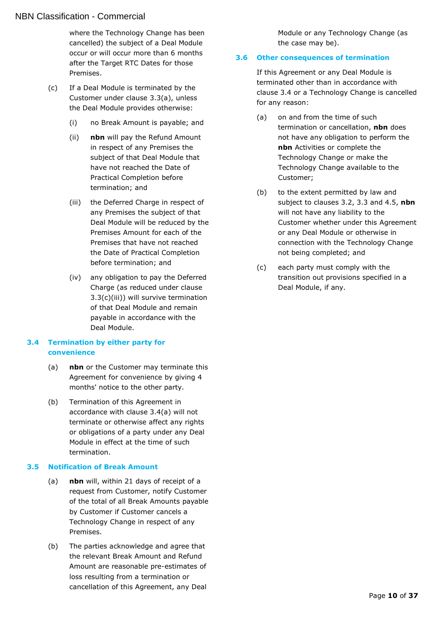#### NBN Classification - Commercial

where the Technology Change has been cancelled) the subject of a Deal Module occur or will occur more than 6 months after the Target RTC Dates for those Premises.

- <span id="page-9-3"></span>(c) If a Deal Module is terminated by the Customer under clause [3.3\(a\),](#page-8-3) unless the Deal Module provides otherwise:
	- (i) no Break Amount is payable; and
	- (ii) **nbn** will pay the Refund Amount in respect of any Premises the subject of that Deal Module that have not reached the Date of Practical Completion before termination; and
	- (iii) the Deferred Charge in respect of any Premises the subject of that Deal Module will be reduced by the Premises Amount for each of the Premises that have not reached the Date of Practical Completion before termination; and
	- (iv) any obligation to pay the Deferred Charge (as reduced under clause [3.3\(c\)\(iii\)\)](#page-9-3) will survive termination of that Deal Module and remain payable in accordance with the Deal Module.

#### <span id="page-9-0"></span>**3.4 Termination by either party for convenience**

- <span id="page-9-4"></span>(a) **nbn** or the Customer may terminate this Agreement for convenience by giving 4 months' notice to the other party.
- (b) Termination of this Agreement in accordance with clause [3.4\(a\)](#page-9-4) will not terminate or otherwise affect any rights or obligations of a party under any Deal Module in effect at the time of such termination.

#### <span id="page-9-1"></span>**3.5 Notification of Break Amount**

- (a) **nbn** will, within 21 days of receipt of a request from Customer, notify Customer of the total of all Break Amounts payable by Customer if Customer cancels a Technology Change in respect of any Premises.
- (b) The parties acknowledge and agree that the relevant Break Amount and Refund Amount are reasonable pre-estimates of loss resulting from a termination or cancellation of this Agreement, any Deal

Module or any Technology Change (as the case may be).

#### <span id="page-9-2"></span>**3.6 Other consequences of termination**

If this Agreement or any Deal Module is terminated other than in accordance with clause [3.4](#page-9-0) or a Technology Change is cancelled for any reason:

- (a) on and from the time of such termination or cancellation, **nbn** does not have any obligation to perform the **nbn** Activities or complete the Technology Change or make the Technology Change available to the Customer;
- (b) to the extent permitted by law and subject to clauses [3.2,](#page-8-0) [3.3](#page-8-1) and [4.5,](#page-10-6) **nbn** will not have any liability to the Customer whether under this Agreement or any Deal Module or otherwise in connection with the Technology Change not being completed; and
- (c) each party must comply with the transition out provisions specified in a Deal Module, if any.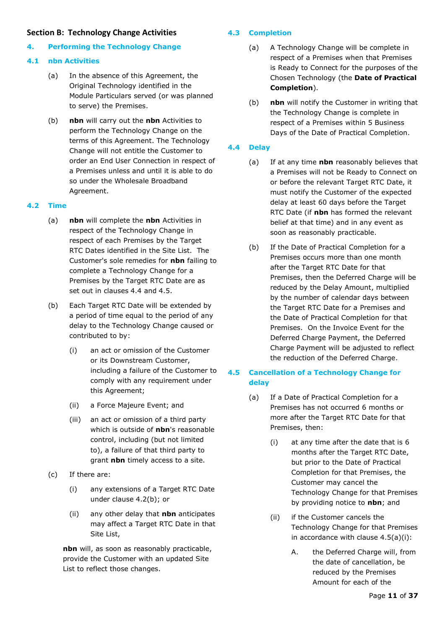#### <span id="page-10-0"></span>**Section B: Technology Change Activities**

## <span id="page-10-1"></span>**4. Performing the Technology Change**

### <span id="page-10-2"></span>**4.1 nbn Activities**

- (a) In the absence of this Agreement, the Original Technology identified in the Module Particulars served (or was planned to serve) the Premises.
- (b) **nbn** will carry out the **nbn** Activities to perform the Technology Change on the terms of this Agreement. The Technology Change will not entitle the Customer to order an End User Connection in respect of a Premises unless and until it is able to do so under the Wholesale Broadband Agreement.

## <span id="page-10-3"></span>**4.2 Time**

- (a) **nbn** will complete the **nbn** Activities in respect of the Technology Change in respect of each Premises by the Target RTC Dates identified in the Site List. The Customer's sole remedies for **nbn** failing to complete a Technology Change for a Premises by the Target RTC Date are as set out in clauses [4.4](#page-10-5) and [4.5.](#page-10-6)
- <span id="page-10-7"></span>(b) Each Target RTC Date will be extended by a period of time equal to the period of any delay to the Technology Change caused or contributed to by:
	- (i) an act or omission of the Customer or its Downstream Customer, including a failure of the Customer to comply with any requirement under this Agreement;
	- (ii) a Force Majeure Event; and
	- (iii) an act or omission of a third party which is outside of **nbn**'s reasonable control, including (but not limited to), a failure of that third party to grant **nbn** timely access to a site.
- (c) If there are:
	- (i) any extensions of a Target RTC Date under clause [4.2\(b\);](#page-10-7) or
	- (ii) any other delay that **nbn** anticipates may affect a Target RTC Date in that Site List,

**nbn** will, as soon as reasonably practicable, provide the Customer with an updated Site List to reflect those changes.

## <span id="page-10-9"></span><span id="page-10-4"></span>**4.3 Completion**

- (a) A Technology Change will be complete in respect of a Premises when that Premises is Ready to Connect for the purposes of the Chosen Technology (the **Date of Practical Completion**).
- (b) **nbn** will notify the Customer in writing that the Technology Change is complete in respect of a Premises within 5 Business Days of the Date of Practical Completion.

## <span id="page-10-5"></span>**4.4 Delay**

- (a) If at any time **nbn** reasonably believes that a Premises will not be Ready to Connect on or before the relevant Target RTC Date, it must notify the Customer of the expected delay at least 60 days before the Target RTC Date (if **nbn** has formed the relevant belief at that time) and in any event as soon as reasonably practicable.
- (b) If the Date of Practical Completion for a Premises occurs more than one month after the Target RTC Date for that Premises, then the Deferred Charge will be reduced by the Delay Amount, multiplied by the number of calendar days between the Target RTC Date for a Premises and the Date of Practical Completion for that Premises. On the Invoice Event for the Deferred Charge Payment, the Deferred Charge Payment will be adjusted to reflect the reduction of the Deferred Charge.

## <span id="page-10-6"></span>**4.5 Cancellation of a Technology Change for delay**

- <span id="page-10-8"></span>(a) If a Date of Practical Completion for a Premises has not occurred 6 months or more after the Target RTC Date for that Premises, then:
	- (i) at any time after the date that is 6 months after the Target RTC Date, but prior to the Date of Practical Completion for that Premises, the Customer may cancel the Technology Change for that Premises by providing notice to **nbn**; and
	- (ii) if the Customer cancels the Technology Change for that Premises in accordance with clause  $4.5(a)(i)$ :
		- A. the Deferred Charge will, from the date of cancellation, be reduced by the Premises Amount for each of the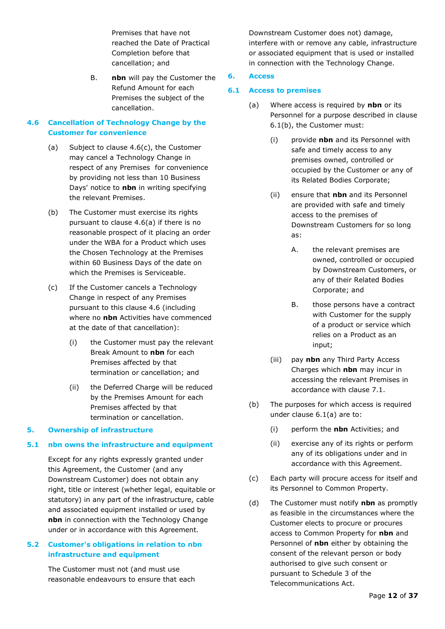Premises that have not reached the Date of Practical Completion before that cancellation; and

B. **nbn** will pay the Customer the Refund Amount for each Premises the subject of the cancellation.

#### <span id="page-11-0"></span>**4.6 Cancellation of Technology Change by the Customer for convenience**

- <span id="page-11-7"></span>(a) Subject to clause [4.6\(c\),](#page-11-6) the Customer may cancel a Technology Change in respect of any Premises for convenience by providing not less than 10 Business Days' notice to **nbn** in writing specifying the relevant Premises.
- (b) The Customer must exercise its rights pursuant to clause [4.6\(a\)](#page-11-7) if there is no reasonable prospect of it placing an order under the WBA for a Product which uses the Chosen Technology at the Premises within 60 Business Days of the date on which the Premises is Serviceable.
- <span id="page-11-6"></span>(c) If the Customer cancels a Technology Change in respect of any Premises pursuant to this clause [4.6](#page-11-0) (including where no **nbn** Activities have commenced at the date of that cancellation):
	- (i) the Customer must pay the relevant Break Amount to **nbn** for each Premises affected by that termination or cancellation; and
	- (ii) the Deferred Charge will be reduced by the Premises Amount for each Premises affected by that termination or cancellation.

#### <span id="page-11-1"></span>**5. Ownership of infrastructure**

#### <span id="page-11-2"></span>**5.1 nbn owns the infrastructure and equipment**

Except for any rights expressly granted under this Agreement, the Customer (and any Downstream Customer) does not obtain any right, title or interest (whether legal, equitable or statutory) in any part of the infrastructure, cable and associated equipment installed or used by **nbn** in connection with the Technology Change under or in accordance with this Agreement.

#### <span id="page-11-3"></span>**5.2 Customer's obligations in relation to nbn infrastructure and equipment**

The Customer must not (and must use reasonable endeavours to ensure that each Downstream Customer does not) damage, interfere with or remove any cable, infrastructure or associated equipment that is used or installed in connection with the Technology Change.

#### <span id="page-11-4"></span>**6. Access**

#### <span id="page-11-9"></span><span id="page-11-5"></span>**6.1 Access to premises**

- (a) Where access is required by **nbn** or its Personnel for a purpose described in clause [6.1\(b\),](#page-11-8) the Customer must:
	- (i) provide **nbn** and its Personnel with safe and timely access to any premises owned, controlled or occupied by the Customer or any of its Related Bodies Corporate;
	- (ii) ensure that **nbn** and its Personnel are provided with safe and timely access to the premises of Downstream Customers for so long as:
		- A. the relevant premises are owned, controlled or occupied by Downstream Customers, or any of their Related Bodies Corporate; and
		- B. those persons have a contract with Customer for the supply of a product or service which relies on a Product as an input;
	- (iii) pay **nbn** any Third Party Access Charges which **nbn** may incur in accessing the relevant Premises in accordance with clause [7.1.](#page-13-2)
- <span id="page-11-8"></span>(b) The purposes for which access is required under clause [6.1\(a\)](#page-11-9) are to:
	- (i) perform the **nbn** Activities; and
	- (ii) exercise any of its rights or perform any of its obligations under and in accordance with this Agreement.
- (c) Each party will procure access for itself and its Personnel to Common Property.
- (d) The Customer must notify **nbn** as promptly as feasible in the circumstances where the Customer elects to procure or procures access to Common Property for **nbn** and Personnel of **nbn** either by obtaining the consent of the relevant person or body authorised to give such consent or pursuant to Schedule 3 of the Telecommunications Act.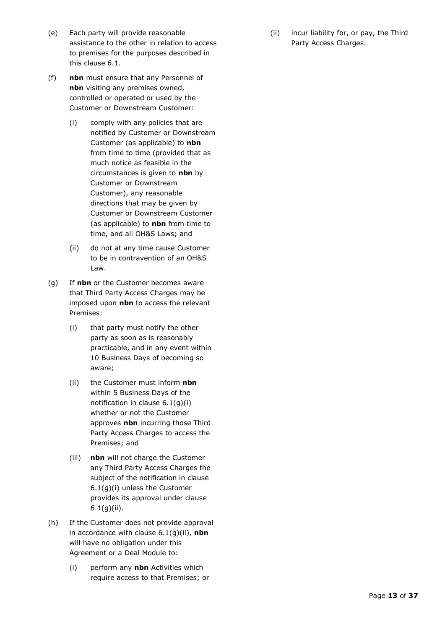- (e) Each party will provide reasonable assistance to the other in relation to access to premises for the purposes described in this clause [6.1.](#page-11-5)
- (f) **nbn** must ensure that any Personnel of **nbn** visiting any premises owned, controlled or operated or used by the Customer or Downstream Customer:
	- (i) comply with any policies that are notified by Customer or Downstream Customer (as applicable) to **nbn** from time to time (provided that as much notice as feasible in the circumstances is given to **nbn** by Customer or Downstream Customer), any reasonable directions that may be given by Customer or Downstream Customer (as applicable) to **nbn** from time to time, and all OH&S Laws; and
	- (ii) do not at any time cause Customer to be in contravention of an OH&S Law.
- <span id="page-12-1"></span><span id="page-12-0"></span>(g) If **nbn** or the Customer becomes aware that Third Party Access Charges may be imposed upon **nbn** to access the relevant Premises:
	- (i) that party must notify the other party as soon as is reasonably practicable, and in any event within 10 Business Days of becoming so aware;
	- (ii) the Customer must inform **nbn**  within 5 Business Days of the notification in clause [6.1\(g\)\(i\)](#page-12-0) whether or not the Customer approves **nbn** incurring those Third Party Access Charges to access the Premises; and
	- (iii) **nbn** will not charge the Customer any Third Party Access Charges the subject of the notification in clause [6.1\(g\)\(i\)](#page-12-0) unless the Customer provides its approval under clause [6.1\(g\)\(ii\).](#page-12-1)
- (h) If the Customer does not provide approval in accordance with clause [6.1\(g\)\(ii\),](#page-12-1) **nbn**  will have no obligation under this Agreement or a Deal Module to:
	- (i) perform any **nbn** Activities which require access to that Premises; or

(ii) incur liability for, or pay, the Third Party Access Charges.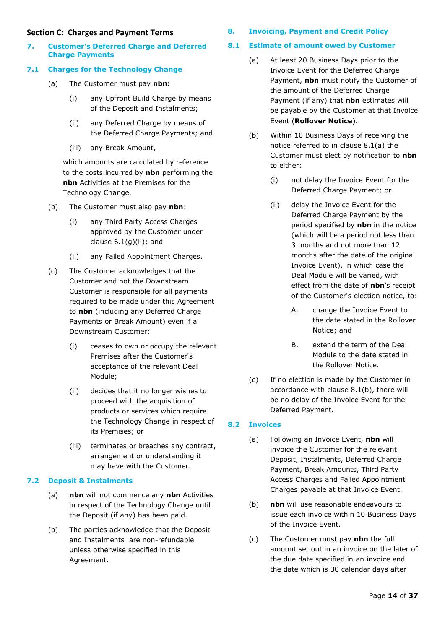#### <span id="page-13-0"></span>**Section C: Charges and Payment Terms**

<span id="page-13-1"></span>**7. Customer's Deferred Charge and Deferred Charge Payments** 

## <span id="page-13-2"></span>**7.1 Charges for the Technology Change**

- (a) The Customer must pay **nbn:**
	- (i) any Upfront Build Charge by means of the Deposit and Instalments;
	- (ii) any Deferred Charge by means of the Deferred Charge Payments; and
	- (iii) any Break Amount,

which amounts are calculated by reference to the costs incurred by **nbn** performing the **nbn** Activities at the Premises for the Technology Change.

- (b) The Customer must also pay **nbn**:
	- (i) any Third Party Access Charges approved by the Customer under clause  $6.1(g)(ii)$ ; and
	- (ii) any Failed Appointment Charges.
- (c) The Customer acknowledges that the Customer and not the Downstream Customer is responsible for all payments required to be made under this Agreement to **nbn** (including any Deferred Charge Payments or Break Amount) even if a Downstream Customer:
	- (i) ceases to own or occupy the relevant Premises after the Customer's acceptance of the relevant Deal Module;
	- (ii) decides that it no longer wishes to proceed with the acquisition of products or services which require the Technology Change in respect of its Premises; or
	- (iii) terminates or breaches any contract, arrangement or understanding it may have with the Customer.

## <span id="page-13-3"></span>**7.2 Deposit & Instalments**

- (a) **nbn** will not commence any **nbn** Activities in respect of the Technology Change until the Deposit (if any) has been paid.
- (b) The parties acknowledge that the Deposit and Instalments are non-refundable unless otherwise specified in this Agreement.

## <span id="page-13-4"></span>**8. Invoicing, Payment and Credit Policy**

## <span id="page-13-7"></span><span id="page-13-5"></span>**8.1 Estimate of amount owed by Customer**

- (a) At least 20 Business Days prior to the Invoice Event for the Deferred Charge Payment, **nbn** must notify the Customer of the amount of the Deferred Charge Payment (if any) that **nbn** estimates will be payable by the Customer at that Invoice Event (**Rollover Notice**).
- <span id="page-13-8"></span>(b) Within 10 Business Days of receiving the notice referred to in clause [8.1\(a\)](#page-13-7) the Customer must elect by notification to **nbn** to either:
	- (i) not delay the Invoice Event for the Deferred Charge Payment; or
	- (ii) delay the Invoice Event for the Deferred Charge Payment by the period specified by **nbn** in the notice (which will be a period not less than 3 months and not more than 12 months after the date of the original Invoice Event), in which case the Deal Module will be varied, with effect from the date of **nbn**'s receipt of the Customer's election notice, to:
		- A. change the Invoice Event to the date stated in the Rollover Notice; and
		- B. extend the term of the Deal Module to the date stated in the Rollover Notice.
- (c) If no election is made by the Customer in accordance with clause [8.1\(b\),](#page-13-8) there will be no delay of the Invoice Event for the Deferred Payment.

## <span id="page-13-6"></span>**8.2 Invoices**

- (a) Following an Invoice Event, **nbn** will invoice the Customer for the relevant Deposit, Instalments, Deferred Charge Payment, Break Amounts, Third Party Access Charges and Failed Appointment Charges payable at that Invoice Event.
- (b) **nbn** will use reasonable endeavours to issue each invoice within 10 Business Days of the Invoice Event.
- <span id="page-13-9"></span>(c) The Customer must pay **nbn** the full amount set out in an invoice on the later of the due date specified in an invoice and the date which is 30 calendar days after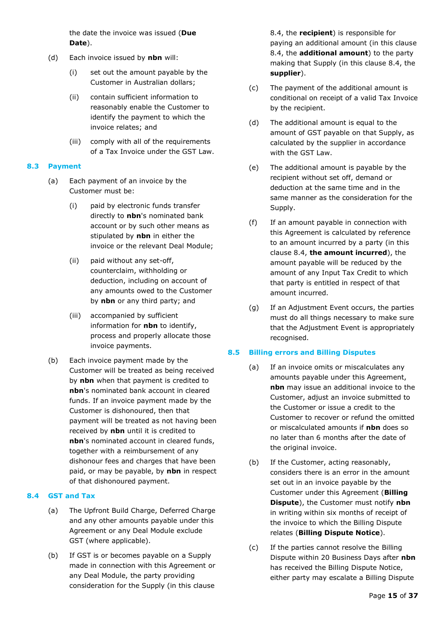the date the invoice was issued (**Due Date**).

- (d) Each invoice issued by **nbn** will:
	- (i) set out the amount payable by the Customer in Australian dollars;
	- (ii) contain sufficient information to reasonably enable the Customer to identify the payment to which the invoice relates; and
	- (iii) comply with all of the requirements of a Tax Invoice under the GST Law.

#### <span id="page-14-0"></span>**8.3 Payment**

- (a) Each payment of an invoice by the Customer must be:
	- (i) paid by electronic funds transfer directly to **nbn**'s nominated bank account or by such other means as stipulated by **nbn** in either the invoice or the relevant Deal Module;
	- (ii) paid without any set-off, counterclaim, withholding or deduction, including on account of any amounts owed to the Customer by **nbn** or any third party; and
	- (iii) accompanied by sufficient information for **nbn** to identify, process and properly allocate those invoice payments.
- (b) Each invoice payment made by the Customer will be treated as being received by **nbn** when that payment is credited to **nbn**'s nominated bank account in cleared funds. If an invoice payment made by the Customer is dishonoured, then that payment will be treated as not having been received by **nbn** until it is credited to **nbn**'s nominated account in cleared funds, together with a reimbursement of any dishonour fees and charges that have been paid, or may be payable, by **nbn** in respect of that dishonoured payment.

#### <span id="page-14-1"></span>**8.4 GST and Tax**

- (a) The Upfront Build Charge, Deferred Charge and any other amounts payable under this Agreement or any Deal Module exclude GST (where applicable).
- (b) If GST is or becomes payable on a Supply made in connection with this Agreement or any Deal Module, the party providing consideration for the Supply (in this clause

[8.4,](#page-14-1) the **recipient**) is responsible for paying an additional amount (in this clause [8.4,](#page-14-1) the **additional amount**) to the party making that Supply (in this clause [8.4,](#page-14-1) the **supplier**).

- (c) The payment of the additional amount is conditional on receipt of a valid Tax Invoice by the recipient.
- (d) The additional amount is equal to the amount of GST payable on that Supply, as calculated by the supplier in accordance with the GST Law.
- (e) The additional amount is payable by the recipient without set off, demand or deduction at the same time and in the same manner as the consideration for the Supply.
- (f) If an amount payable in connection with this Agreement is calculated by reference to an amount incurred by a party (in this clause [8.4,](#page-14-1) **the amount incurred**), the amount payable will be reduced by the amount of any Input Tax Credit to which that party is entitled in respect of that amount incurred.
- (g) If an Adjustment Event occurs, the parties must do all things necessary to make sure that the Adjustment Event is appropriately recognised.

#### <span id="page-14-2"></span>**8.5 Billing errors and Billing Disputes**

- (a) If an invoice omits or miscalculates any amounts payable under this Agreement, **nbn** may issue an additional invoice to the Customer, adjust an invoice submitted to the Customer or issue a credit to the Customer to recover or refund the omitted or miscalculated amounts if **nbn** does so no later than 6 months after the date of the original invoice.
- <span id="page-14-3"></span>(b) If the Customer, acting reasonably, considers there is an error in the amount set out in an invoice payable by the Customer under this Agreement (**Billing Dispute**), the Customer must notify **nbn**  in writing within six months of receipt of the invoice to which the Billing Dispute relates (**Billing Dispute Notice**).
- (c) If the parties cannot resolve the Billing Dispute within 20 Business Days after **nbn** has received the Billing Dispute Notice, either party may escalate a Billing Dispute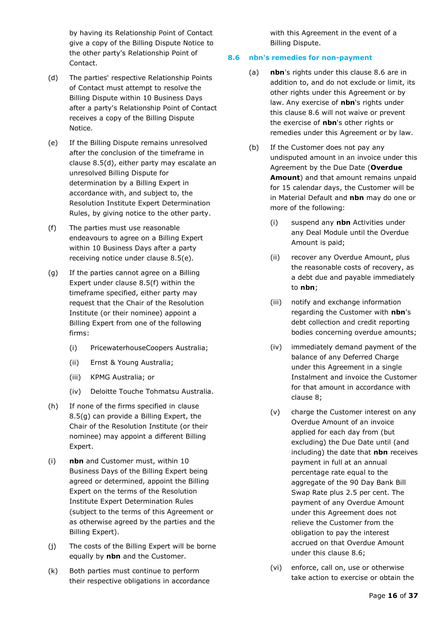by having its Relationship Point of Contact give a copy of the Billing Dispute Notice to the other party's Relationship Point of Contact.

- <span id="page-15-1"></span>(d) The parties' respective Relationship Points of Contact must attempt to resolve the Billing Dispute within 10 Business Days after a party's Relationship Point of Contact receives a copy of the Billing Dispute Notice.
- (e) If the Billing Dispute remains unresolved after the conclusion of the timeframe in clause [8.5\(d\),](#page-15-1) either party may escalate an unresolved Billing Dispute for determination by a Billing Expert in accordance with, and subject to, the Resolution Institute Expert Determination Rules, by giving notice to the other party.
- <span id="page-15-3"></span>(f) The parties must use reasonable endeavours to agree on a Billing Expert within 10 Business Days after a party receiving notice under clause [8.5\(e\).](#page-15-2)
- <span id="page-15-4"></span>(g) If the parties cannot agree on a Billing Expert under clause [8.5\(f\)](#page-15-3) within the timeframe specified, either party may request that the Chair of the Resolution Institute (or their nominee) appoint a Billing Expert from one of the following firms:
	- (i) PricewaterhouseCoopers Australia;
	- (ii) Ernst & Young Australia;
	- (iii) KPMG Australia; or
	- (iv) Deloitte Touche Tohmatsu Australia.
- <span id="page-15-5"></span>(h) If none of the firms specified in clause [8.5\(g\)](#page-15-4) can provide a Billing Expert, the Chair of the Resolution Institute (or their nominee) may appoint a different Billing Expert.
- (i) **nbn** and Customer must, within 10 Business Days of the Billing Expert being agreed or determined, appoint the Billing Expert on the terms of the Resolution Institute Expert Determination Rules (subject to the terms of this Agreement or as otherwise agreed by the parties and the Billing Expert).
- (j) The costs of the Billing Expert will be borne equally by **nbn** and the Customer.
- (k) Both parties must continue to perform their respective obligations in accordance

with this Agreement in the event of a Billing Dispute.

#### <span id="page-15-0"></span>**8.6 nbn's remedies for non-payment**

- (a) **nbn**'s rights under this clause [8.6](#page-15-0) are in addition to, and do not exclude or limit, its other rights under this Agreement or by law. Any exercise of **nbn**'s rights under this clause [8.6](#page-15-0) will not waive or prevent the exercise of **nbn**'s other rights or remedies under this Agreement or by law.
- <span id="page-15-2"></span>(b) If the Customer does not pay any undisputed amount in an invoice under this Agreement by the Due Date (**Overdue Amount**) and that amount remains unpaid for 15 calendar days, the Customer will be in Material Default and **nbn** may do one or more of the following:
	- (i) suspend any **nbn** Activities under any Deal Module until the Overdue Amount is paid;
	- (ii) recover any Overdue Amount, plus the reasonable costs of recovery, as a debt due and payable immediately to **nbn**;
	- (iii) notify and exchange information regarding the Customer with **nbn**'s debt collection and credit reporting bodies concerning overdue amounts;
	- (iv) immediately demand payment of the balance of any Deferred Charge under this Agreement in a single Instalment and invoice the Customer for that amount in accordance with clause [8;](#page-13-4)
	- (v) charge the Customer interest on any Overdue Amount of an invoice applied for each day from (but excluding) the Due Date until (and including) the date that **nbn** receives payment in full at an annual percentage rate equal to the aggregate of the 90 Day Bank Bill Swap Rate plus 2.5 per cent. The payment of any Overdue Amount under this Agreement does not relieve the Customer from the obligation to pay the interest accrued on that Overdue Amount under this clause [8.6;](#page-15-0)
	- (vi) enforce, call on, use or otherwise take action to exercise or obtain the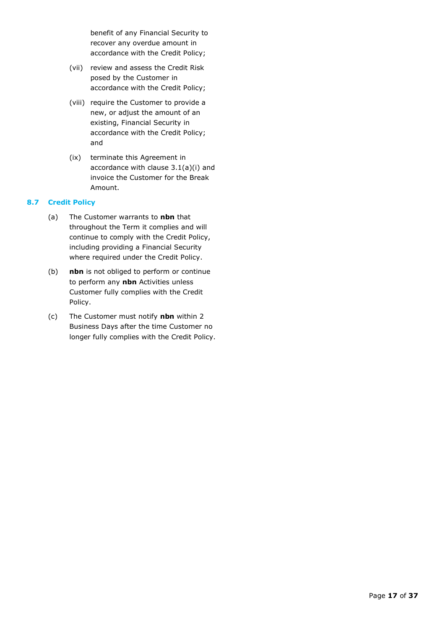benefit of any Financial Security to recover any overdue amount in accordance with the Credit Policy;

- (vii) review and assess the Credit Risk posed by the Customer in accordance with the Credit Policy;
- (viii) require the Customer to provide a new, or adjust the amount of an existing, Financial Security in accordance with the Credit Policy; and
- (ix) terminate this Agreement in accordance with clause [3.1\(a\)\(i\)](#page-7-7) and invoice the Customer for the Break Amount.

#### <span id="page-16-0"></span>**8.7 Credit Policy**

- (a) The Customer warrants to **nbn** that throughout the Term it complies and will continue to comply with the Credit Policy, including providing a Financial Security where required under the Credit Policy.
- (b) **nbn** is not obliged to perform or continue to perform any **nbn** Activities unless Customer fully complies with the Credit Policy.
- (c) The Customer must notify **nbn** within 2 Business Days after the time Customer no longer fully complies with the Credit Policy.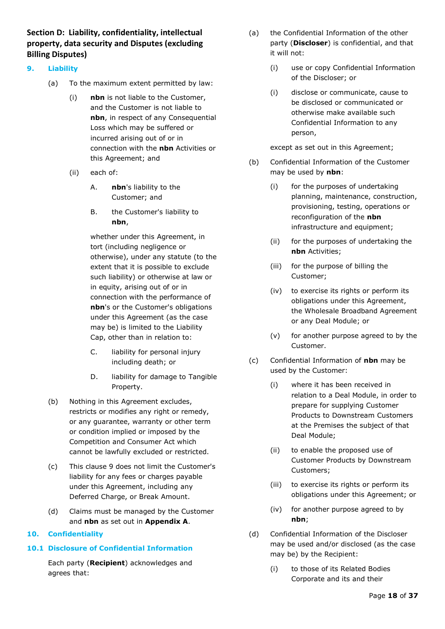<span id="page-17-0"></span>**Section D: Liability, confidentiality, intellectual property, data security and Disputes (excluding Billing Disputes)**

#### <span id="page-17-4"></span><span id="page-17-1"></span>**9. Liability**

- (a) To the maximum extent permitted by law:
	- (i) **nbn** is not liable to the Customer, and the Customer is not liable to **nbn**, in respect of any Consequential Loss which may be suffered or incurred arising out of or in connection with the **nbn** Activities or this Agreement; and
	- (ii) each of:
		- A. **nbn**'s liability to the Customer; and
		- B. the Customer's liability to **nbn**,

whether under this Agreement, in tort (including negligence or otherwise), under any statute (to the extent that it is possible to exclude such liability) or otherwise at law or in equity, arising out of or in connection with the performance of **nbn**'s or the Customer's obligations under this Agreement (as the case may be) is limited to the Liability Cap, other than in relation to:

- C. liability for personal injury including death; or
- D. liability for damage to Tangible Property.
- (b) Nothing in this Agreement excludes, restricts or modifies any right or remedy, or any guarantee, warranty or other term or condition implied or imposed by the Competition and Consumer Act which cannot be lawfully excluded or restricted.
- (c) This clause [9](#page-17-1) does not limit the Customer's liability for any fees or charges payable under this Agreement, including any Deferred Charge, or Break Amount.
- (d) Claims must be managed by the Customer and **nbn** as set out in **Appendix A**.

#### <span id="page-17-2"></span>**10. Confidentiality**

#### <span id="page-17-3"></span>**10.1 Disclosure of Confidential Information**

Each party (**Recipient**) acknowledges and agrees that:

- (a) the Confidential Information of the other party (**Discloser**) is confidential, and that it will not:
	- (i) use or copy Confidential Information of the Discloser; or
	- (i) disclose or communicate, cause to be disclosed or communicated or otherwise make available such Confidential Information to any person,

except as set out in this Agreement;

- (b) Confidential Information of the Customer may be used by **nbn**:
	- (i) for the purposes of undertaking planning, maintenance, construction, provisioning, testing, operations or reconfiguration of the **nbn** infrastructure and equipment;
	- (ii) for the purposes of undertaking the **nbn** Activities;
	- (iii) for the purpose of billing the Customer;
	- (iv) to exercise its rights or perform its obligations under this Agreement, the Wholesale Broadband Agreement or any Deal Module; or
	- (v) for another purpose agreed to by the Customer.
- (c) Confidential Information of **nbn** may be used by the Customer:
	- (i) where it has been received in relation to a Deal Module, in order to prepare for supplying Customer Products to Downstream Customers at the Premises the subject of that Deal Module;
	- (ii) to enable the proposed use of Customer Products by Downstream Customers;
	- (iii) to exercise its rights or perform its obligations under this Agreement; or
	- (iv) for another purpose agreed to by **nbn**;
- (d) Confidential Information of the Discloser may be used and/or disclosed (as the case may be) by the Recipient:
	- (i) to those of its Related Bodies Corporate and its and their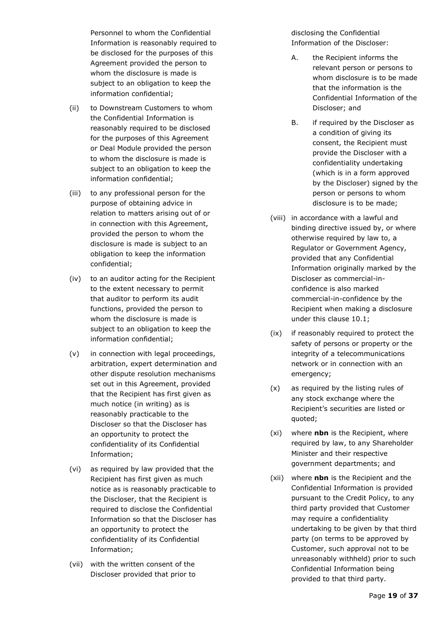Personnel to whom the Confidential Information is reasonably required to be disclosed for the purposes of this Agreement provided the person to whom the disclosure is made is subject to an obligation to keep the information confidential;

- (ii) to Downstream Customers to whom the Confidential Information is reasonably required to be disclosed for the purposes of this Agreement or Deal Module provided the person to whom the disclosure is made is subject to an obligation to keep the information confidential;
- (iii) to any professional person for the purpose of obtaining advice in relation to matters arising out of or in connection with this Agreement, provided the person to whom the disclosure is made is subject to an obligation to keep the information confidential;
- (iv) to an auditor acting for the Recipient to the extent necessary to permit that auditor to perform its audit functions, provided the person to whom the disclosure is made is subject to an obligation to keep the information confidential;
- (v) in connection with legal proceedings, arbitration, expert determination and other dispute resolution mechanisms set out in this Agreement, provided that the Recipient has first given as much notice (in writing) as is reasonably practicable to the Discloser so that the Discloser has an opportunity to protect the confidentiality of its Confidential Information;
- (vi) as required by law provided that the Recipient has first given as much notice as is reasonably practicable to the Discloser, that the Recipient is required to disclose the Confidential Information so that the Discloser has an opportunity to protect the confidentiality of its Confidential Information;
- (vii) with the written consent of the Discloser provided that prior to

disclosing the Confidential Information of the Discloser:

- A. the Recipient informs the relevant person or persons to whom disclosure is to be made that the information is the Confidential Information of the Discloser; and
- B. if required by the Discloser as a condition of giving its consent, the Recipient must provide the Discloser with a confidentiality undertaking (which is in a form approved by the Discloser) signed by the person or persons to whom disclosure is to be made;
- (viii) in accordance with a lawful and binding directive issued by, or where otherwise required by law to, a Regulator or Government Agency, provided that any Confidential Information originally marked by the Discloser as commercial-inconfidence is also marked commercial-in-confidence by the Recipient when making a disclosure under this clause [10.1;](#page-17-3)
- (ix) if reasonably required to protect the safety of persons or property or the integrity of a telecommunications network or in connection with an emergency;
- (x) as required by the listing rules of any stock exchange where the Recipient's securities are listed or quoted;
- (xi) where **nbn** is the Recipient, where required by law, to any Shareholder Minister and their respective government departments; and
- (xii) where **nbn** is the Recipient and the Confidential Information is provided pursuant to the Credit Policy, to any third party provided that Customer may require a confidentiality undertaking to be given by that third party (on terms to be approved by Customer, such approval not to be unreasonably withheld) prior to such Confidential Information being provided to that third party.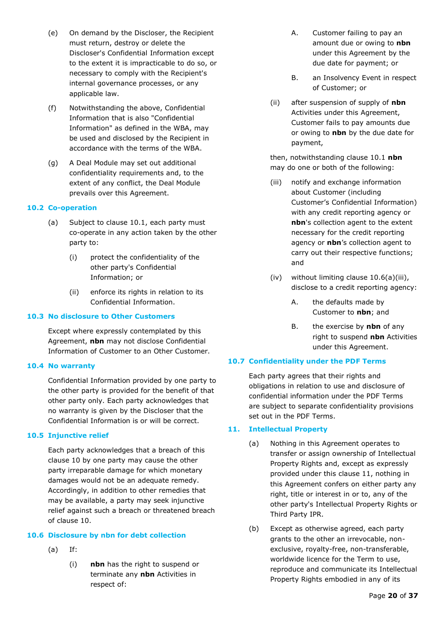- (e) On demand by the Discloser, the Recipient must return, destroy or delete the Discloser's Confidential Information except to the extent it is impracticable to do so, or necessary to comply with the Recipient's internal governance processes, or any applicable law.
- (f) Notwithstanding the above, Confidential Information that is also "Confidential Information" as defined in the WBA, may be used and disclosed by the Recipient in accordance with the terms of the WBA.
- (g) A Deal Module may set out additional confidentiality requirements and, to the extent of any conflict, the Deal Module prevails over this Agreement.

#### <span id="page-19-0"></span>**10.2 Co-operation**

- (a) Subject to clause [10.1,](#page-17-3) each party must co-operate in any action taken by the other party to:
	- (i) protect the confidentiality of the other party's Confidential Information; or
	- (ii) enforce its rights in relation to its Confidential Information.

#### <span id="page-19-1"></span>**10.3 No disclosure to Other Customers**

Except where expressly contemplated by this Agreement, **nbn** may not disclose Confidential Information of Customer to an Other Customer.

#### <span id="page-19-2"></span>**10.4 No warranty**

Confidential Information provided by one party to the other party is provided for the benefit of that other party only. Each party acknowledges that no warranty is given by the Discloser that the Confidential Information is or will be correct.

#### <span id="page-19-3"></span>**10.5 Injunctive relief**

Each party acknowledges that a breach of this clause [10](#page-17-2) by one party may cause the other party irreparable damage for which monetary damages would not be an adequate remedy. Accordingly, in addition to other remedies that may be available, a party may seek injunctive relief against such a breach or threatened breach of clause [10.](#page-17-2)

#### <span id="page-19-4"></span>**10.6 Disclosure by nbn for debt collection**

- (a) If:
	- (i) **nbn** has the right to suspend or terminate any **nbn** Activities in respect of:
- A. Customer failing to pay an amount due or owing to **nbn** under this Agreement by the due date for payment; or
- B. an Insolvency Event in respect of Customer; or
- (ii) after suspension of supply of **nbn** Activities under this Agreement, Customer fails to pay amounts due or owing to **nbn** by the due date for payment,

then, notwithstanding clause [10.1](#page-17-3) **nbn** may do one or both of the following:

- <span id="page-19-7"></span>(iii) notify and exchange information about Customer (including Customer's Confidential Information) with any credit reporting agency or **nbn**'s collection agent to the extent necessary for the credit reporting agency or **nbn**'s collection agent to carry out their respective functions; and
- (iv) without limiting clause [10.6\(a\)\(iii\),](#page-19-7) disclose to a credit reporting agency:
	- A. the defaults made by Customer to **nbn**; and
	- B. the exercise by **nbn** of any right to suspend **nbn** Activities under this Agreement.

#### <span id="page-19-5"></span>**10.7 Confidentiality under the PDF Terms**

Each party agrees that their rights and obligations in relation to use and disclosure of confidential information under the PDF Terms are subject to separate confidentiality provisions set out in the PDF Terms.

#### <span id="page-19-6"></span>**11. Intellectual Property**

- (a) Nothing in this Agreement operates to transfer or assign ownership of Intellectual Property Rights and, except as expressly provided under this clause [11,](#page-19-6) nothing in this Agreement confers on either party any right, title or interest in or to, any of the other party's Intellectual Property Rights or Third Party IPR.
- (b) Except as otherwise agreed, each party grants to the other an irrevocable, nonexclusive, royalty-free, non-transferable, worldwide licence for the Term to use, reproduce and communicate its Intellectual Property Rights embodied in any of its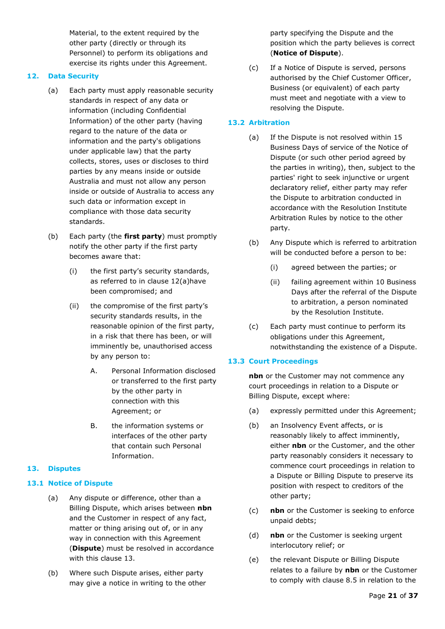Material, to the extent required by the other party (directly or through its Personnel) to perform its obligations and exercise its rights under this Agreement.

#### <span id="page-20-5"></span><span id="page-20-0"></span>**12. Data Security**

- (a) Each party must apply reasonable security standards in respect of any data or information (including Confidential Information) of the other party (having regard to the nature of the data or information and the party's obligations under applicable law) that the party collects, stores, uses or discloses to third parties by any means inside or outside Australia and must not allow any person inside or outside of Australia to access any such data or information except in compliance with those data security standards.
- (b) Each party (the **first party**) must promptly notify the other party if the first party becomes aware that:
	- (i) the first party's security standards, as referred to in clause [12\(a\)h](#page-20-5)ave been compromised; and
	- (ii) the compromise of the first party's security standards results, in the reasonable opinion of the first party, in a risk that there has been, or will imminently be, unauthorised access by any person to:
		- A. Personal Information disclosed or transferred to the first party by the other party in connection with this Agreement; or
		- B. the information systems or interfaces of the other party that contain such Personal Information.

#### <span id="page-20-1"></span>**13. Disputes**

#### <span id="page-20-7"></span><span id="page-20-2"></span>**13.1 Notice of Dispute**

- (a) Any dispute or difference, other than a Billing Dispute, which arises between **nbn** and the Customer in respect of any fact, matter or thing arising out of, or in any way in connection with this Agreement (**Dispute**) must be resolved in accordance with this clause [13.](#page-20-1)
- <span id="page-20-6"></span>(b) Where such Dispute arises, either party may give a notice in writing to the other

party specifying the Dispute and the position which the party believes is correct (**Notice of Dispute**).

(c) If a Notice of Dispute is served, persons authorised by the Chief Customer Officer, Business (or equivalent) of each party must meet and negotiate with a view to resolving the Dispute.

## <span id="page-20-3"></span>**13.2 Arbitration**

- (a) If the Dispute is not resolved within 15 Business Days of service of the Notice of Dispute (or such other period agreed by the parties in writing), then, subject to the parties' right to seek injunctive or urgent declaratory relief, either party may refer the Dispute to arbitration conducted in accordance with the Resolution Institute Arbitration Rules by notice to the other party.
- (b) Any Dispute which is referred to arbitration will be conducted before a person to be:
	- (i) agreed between the parties; or
	- (ii) failing agreement within 10 Business Days after the referral of the Dispute to arbitration, a person nominated by the Resolution Institute.
- (c) Each party must continue to perform its obligations under this Agreement, notwithstanding the existence of a Dispute.

## <span id="page-20-4"></span>**13.3 Court Proceedings**

**nbn** or the Customer may not commence any court proceedings in relation to a Dispute or Billing Dispute, except where:

- (a) expressly permitted under this Agreement;
- (b) an Insolvency Event affects, or is reasonably likely to affect imminently, either **nbn** or the Customer, and the other party reasonably considers it necessary to commence court proceedings in relation to a Dispute or Billing Dispute to preserve its position with respect to creditors of the other party;
- (c) **nbn** or the Customer is seeking to enforce unpaid debts;
- (d) **nbn** or the Customer is seeking urgent interlocutory relief; or
- (e) the relevant Dispute or Billing Dispute relates to a failure by **nbn** or the Customer to comply with clause [8.5](#page-14-2) in relation to the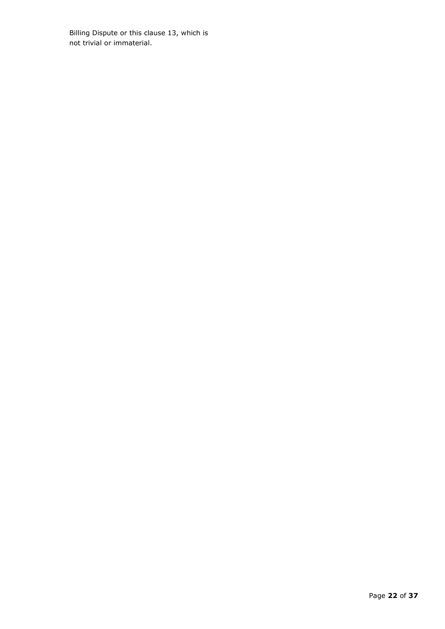Billing Dispute or this clause [13,](#page-20-1) which is not trivial or immaterial.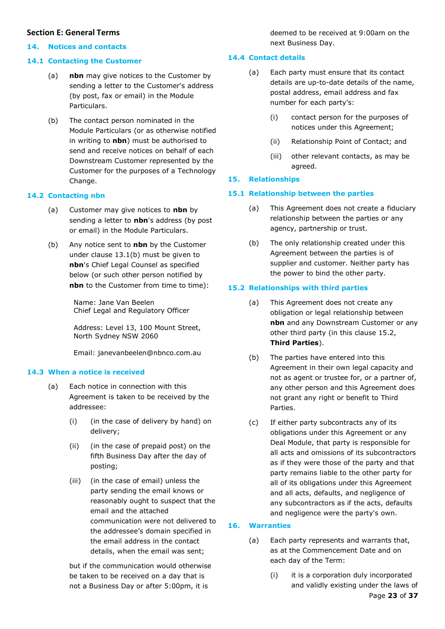#### <span id="page-22-0"></span>**Section E: General Terms**

#### <span id="page-22-1"></span>**14. Notices and contacts**

#### <span id="page-22-2"></span>**14.1 Contacting the Customer**

- (a) **nbn** may give notices to the Customer by sending a letter to the Customer's address (by post, fax or email) in the Module Particulars.
- (b) The contact person nominated in the Module Particulars (or as otherwise notified in writing to **nbn**) must be authorised to send and receive notices on behalf of each Downstream Customer represented by the Customer for the purposes of a Technology Change.

#### <span id="page-22-3"></span>**14.2 Contacting nbn**

- (a) Customer may give notices to **nbn** by sending a letter to **nbn**'s address (by post or email) in the Module Particulars.
- (b) Any notice sent to **nbn** by the Customer under clause [13.1\(b\)](#page-20-6) must be given to **nbn**'s Chief Legal Counsel as specified below (or such other person notified by **nbn** to the Customer from time to time):

Name: Jane Van Beelen Chief Legal and Regulatory Officer

Address: Level 13, 100 Mount Street, North Sydney NSW 2060

Email: janevanbeelen@nbnco.com.au

#### <span id="page-22-4"></span>**14.3 When a notice is received**

- (a) Each notice in connection with this Agreement is taken to be received by the addressee:
	- (i) (in the case of delivery by hand) on delivery;
	- (ii) (in the case of prepaid post) on the fifth Business Day after the day of posting;
	- (iii) (in the case of email) unless the party sending the email knows or reasonably ought to suspect that the email and the attached communication were not delivered to the addressee's domain specified in the email address in the contact details, when the email was sent;

but if the communication would otherwise be taken to be received on a day that is not a Business Day or after 5:00pm, it is

deemed to be received at 9:00am on the next Business Day.

#### <span id="page-22-5"></span>**14.4 Contact details**

- (a) Each party must ensure that its contact details are up-to-date details of the name, postal address, email address and fax number for each party's:
	- (i) contact person for the purposes of notices under this Agreement;
	- (ii) Relationship Point of Contact; and
	- (iii) other relevant contacts, as may be agreed.

#### <span id="page-22-6"></span>**15. Relationships**

#### <span id="page-22-7"></span>**15.1 Relationship between the parties**

- (a) This Agreement does not create a fiduciary relationship between the parties or any agency, partnership or trust.
- (b) The only relationship created under this Agreement between the parties is of supplier and customer. Neither party has the power to bind the other party.

#### <span id="page-22-8"></span>**15.2 Relationships with third parties**

- (a) This Agreement does not create any obligation or legal relationship between **nbn** and any Downstream Customer or any other third party (in this clause [15.2,](#page-22-8) **Third Parties**).
- (b) The parties have entered into this Agreement in their own legal capacity and not as agent or trustee for, or a partner of, any other person and this Agreement does not grant any right or benefit to Third Parties.
- (c) If either party subcontracts any of its obligations under this Agreement or any Deal Module, that party is responsible for all acts and omissions of its subcontractors as if they were those of the party and that party remains liable to the other party for all of its obligations under this Agreement and all acts, defaults, and negligence of any subcontractors as if the acts, defaults and negligence were the party's own.

#### <span id="page-22-9"></span>**16. Warranties**

- (a) Each party represents and warrants that, as at the Commencement Date and on each day of the Term:
	- Page **23** of **37** (i) it is a corporation duly incorporated and validly existing under the laws of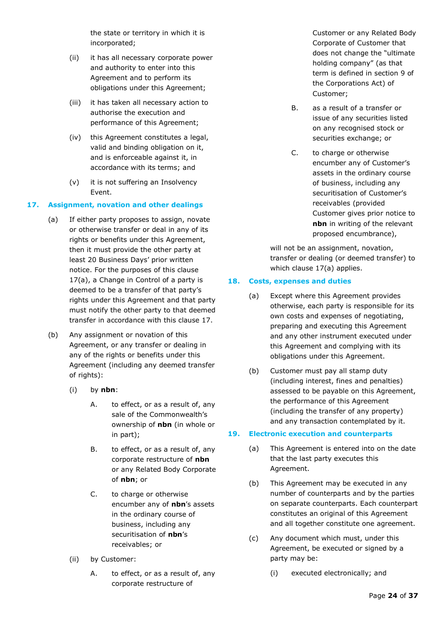the state or territory in which it is incorporated;

- (ii) it has all necessary corporate power and authority to enter into this Agreement and to perform its obligations under this Agreement;
- (iii) it has taken all necessary action to authorise the execution and performance of this Agreement;
- (iv) this Agreement constitutes a legal, valid and binding obligation on it, and is enforceable against it, in accordance with its terms; and
- (v) it is not suffering an Insolvency Event.

#### <span id="page-23-3"></span><span id="page-23-0"></span>**17. Assignment, novation and other dealings**

- (a) If either party proposes to assign, novate or otherwise transfer or deal in any of its rights or benefits under this Agreement, then it must provide the other party at least 20 Business Days' prior written notice. For the purposes of this clause [17\(a\),](#page-23-3) a Change in Control of a party is deemed to be a transfer of that party's rights under this Agreement and that party must notify the other party to that deemed transfer in accordance with this clause [17.](#page-23-0)
- (b) Any assignment or novation of this Agreement, or any transfer or dealing in any of the rights or benefits under this Agreement (including any deemed transfer of rights):
	- (i) by **nbn**:
		- A. to effect, or as a result of, any sale of the Commonwealth's ownership of **nbn** (in whole or in part);
		- B. to effect, or as a result of, any corporate restructure of **nbn** or any Related Body Corporate of **nbn**; or
		- C. to charge or otherwise encumber any of **nbn**'s assets in the ordinary course of business, including any securitisation of **nbn**'s receivables; or
	- (ii) by Customer:
		- A. to effect, or as a result of, any corporate restructure of

Customer or any Related Body Corporate of Customer that does not change the "ultimate holding company" (as that term is defined in section 9 of the Corporations Act) of Customer;

- B. as a result of a transfer or issue of any securities listed on any recognised stock or securities exchange; or
- C. to charge or otherwise encumber any of Customer's assets in the ordinary course of business, including any securitisation of Customer's receivables (provided Customer gives prior notice to **nbn** in writing of the relevant proposed encumbrance),

will not be an assignment, novation, transfer or dealing (or deemed transfer) to which clause [17\(a\)](#page-23-3) applies.

#### <span id="page-23-1"></span>**18. Costs, expenses and duties**

- (a) Except where this Agreement provides otherwise, each party is responsible for its own costs and expenses of negotiating, preparing and executing this Agreement and any other instrument executed under this Agreement and complying with its obligations under this Agreement.
- (b) Customer must pay all stamp duty (including interest, fines and penalties) assessed to be payable on this Agreement, the performance of this Agreement (including the transfer of any property) and any transaction contemplated by it.

#### <span id="page-23-2"></span>**19. Electronic execution and counterparts**

- (a) This Agreement is entered into on the date that the last party executes this Agreement.
- (b) This Agreement may be executed in any number of counterparts and by the parties on separate counterparts. Each counterpart constitutes an original of this Agreement and all together constitute one agreement.
- (c) Any document which must, under this Agreement, be executed or signed by a party may be:
	- (i) executed electronically; and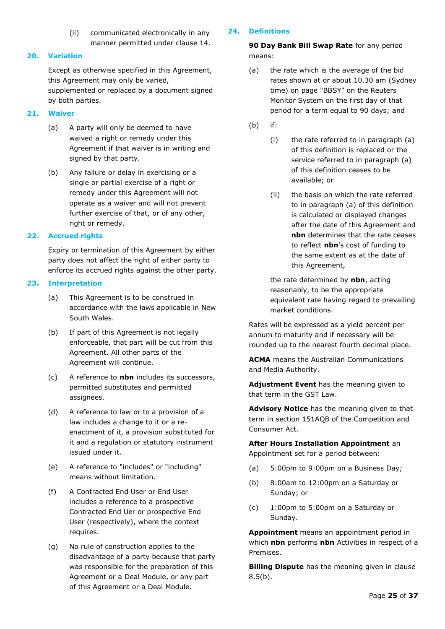(ii) communicated electronically in any manner permitted under clause [14.](#page-22-1)

#### <span id="page-24-0"></span>**20. Variation**

Except as otherwise specified in this Agreement, this Agreement may only be varied, supplemented or replaced by a document signed by both parties.

#### <span id="page-24-1"></span>**21. Waiver**

- (a) A party will only be deemed to have waived a right or remedy under this Agreement if that waiver is in writing and signed by that party.
- (b) Any failure or delay in exercising or a single or partial exercise of a right or remedy under this Agreement will not operate as a waiver and will not prevent further exercise of that, or of any other, right or remedy.

#### <span id="page-24-2"></span>**22. Accrued rights**

Expiry or termination of this Agreement by either party does not affect the right of either party to enforce its accrued rights against the other party.

#### <span id="page-24-3"></span>**23. Interpretation**

- (a) This Agreement is to be construed in accordance with the laws applicable in New South Wales.
- (b) If part of this Agreement is not legally enforceable, that part will be cut from this Agreement. All other parts of the Agreement will continue.
- (c) A reference to **nbn** includes its successors, permitted substitutes and permitted assignees.
- (d) A reference to law or to a provision of a law includes a change to it or a reenactment of it, a provision substituted for it and a regulation or statutory instrument issued under it.
- (e) A reference to "includes" or "including" means without limitation.
- (f) A Contracted End User or End User includes a reference to a prospective Contracted End Uer or prospective End User (respectively), where the context requires.
- (g) No rule of construction applies to the disadvantage of a party because that party was responsible for the preparation of this Agreement or a Deal Module, or any part of this Agreement or a Deal Module.

#### <span id="page-24-4"></span>**24. Definitions**

**90 Day Bank Bill Swap Rate** for any period means:

- (a) the rate which is the average of the bid rates shown at or about 10.30 am (Sydney time) on page "BBSY" on the Reuters Monitor System on the first day of that period for a term equal to 90 days; and
- (b) if:
	- (i) the rate referred to in paragraph (a) of this definition is replaced or the service referred to in paragraph (a) of this definition ceases to be available; or
	- (ii) the basis on which the rate referred to in paragraph (a) of this definition is calculated or displayed changes after the date of this Agreement and **nbn** determines that the rate ceases to reflect **nbn**'s cost of funding to the same extent as at the date of this Agreement,

the rate determined by **nbn**, acting reasonably, to be the appropriate equivalent rate having regard to prevailing market conditions.

Rates will be expressed as a yield percent per annum to maturity and if necessary will be rounded up to the nearest fourth decimal place.

**ACMA** means the Australian Communications and Media Authority.

**Adjustment Event** has the meaning given to that term in the GST Law.

**Advisory Notice** has the meaning given to that term in section 151AQB of the Competition and Consumer Act.

**After Hours Installation Appointment** an Appointment set for a period between:

- (a) 5:00pm to 9:00pm on a Business Day;
- (b) 8:00am to 12:00pm on a Saturday or Sunday; or
- (c) 1:00pm to 5:00pm on a Saturday or Sunday.

**Appointment** means an appointment period in which **nbn** performs **nbn** Activities in respect of a Premises.

**Billing Dispute** has the meaning given in clause  $8.5(b)$ .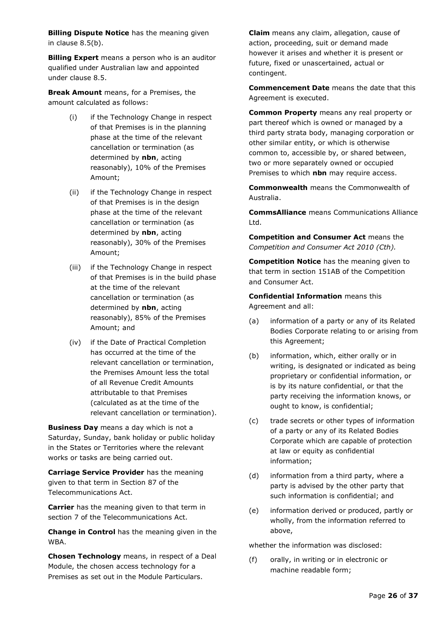**Billing Dispute Notice** has the meaning given in clause [8.5\(b\).](#page-14-3)

**Billing Expert** means a person who is an auditor qualified under Australian law and appointed under clause [8.5.](#page-14-2)

**Break Amount** means, for a Premises, the amount calculated as follows:

- (i) if the Technology Change in respect of that Premises is in the planning phase at the time of the relevant cancellation or termination (as determined by **nbn**, acting reasonably), 10% of the Premises Amount;
- (ii) if the Technology Change in respect of that Premises is in the design phase at the time of the relevant cancellation or termination (as determined by **nbn**, acting reasonably), 30% of the Premises Amount;
- (iii) if the Technology Change in respect of that Premises is in the build phase at the time of the relevant cancellation or termination (as determined by **nbn**, acting reasonably), 85% of the Premises Amount; and
- (iv) if the Date of Practical Completion has occurred at the time of the relevant cancellation or termination, the Premises Amount less the total of all Revenue Credit Amounts attributable to that Premises (calculated as at the time of the relevant cancellation or termination).

**Business Day** means a day which is not a Saturday, Sunday, bank holiday or public holiday in the States or Territories where the relevant works or tasks are being carried out.

**Carriage Service Provider** has the meaning given to that term in Section 87 of the Telecommunications Act.

**Carrier** has the meaning given to that term in section 7 of the Telecommunications Act.

**Change in Control** has the meaning given in the WBA.

**Chosen Technology** means, in respect of a Deal Module, the chosen access technology for a Premises as set out in the Module Particulars.

**Claim** means any claim, allegation, cause of action, proceeding, suit or demand made however it arises and whether it is present or future, fixed or unascertained, actual or contingent.

**Commencement Date** means the date that this Agreement is executed.

**Common Property** means any real property or part thereof which is owned or managed by a third party strata body, managing corporation or other similar entity, or which is otherwise common to, accessible by, or shared between, two or more separately owned or occupied Premises to which **nbn** may require access.

**Commonwealth** means the Commonwealth of Australia.

**CommsAlliance** means Communications Alliance Ltd.

**Competition and Consumer Act** means the *Competition and Consumer Act 2010 (Cth).* 

**Competition Notice** has the meaning given to that term in section 151AB of the Competition and Consumer Act.

**Confidential Information** means this Agreement and all:

- (a) information of a party or any of its Related Bodies Corporate relating to or arising from this Agreement;
- (b) information, which, either orally or in writing, is designated or indicated as being proprietary or confidential information, or is by its nature confidential, or that the party receiving the information knows, or ought to know, is confidential;
- (c) trade secrets or other types of information of a party or any of its Related Bodies Corporate which are capable of protection at law or equity as confidential information;
- (d) information from a third party, where a party is advised by the other party that such information is confidential; and
- (e) information derived or produced, partly or wholly, from the information referred to above,

whether the information was disclosed:

(f) orally, in writing or in electronic or machine readable form;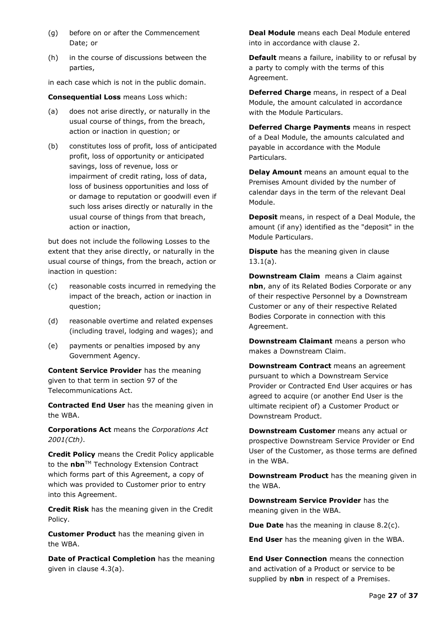- (g) before on or after the Commencement Date; or
- (h) in the course of discussions between the parties,

in each case which is not in the public domain.

**Consequential Loss** means Loss which:

- (a) does not arise directly, or naturally in the usual course of things, from the breach, action or inaction in question; or
- (b) constitutes loss of profit, loss of anticipated profit, loss of opportunity or anticipated savings, loss of revenue, loss or impairment of credit rating, loss of data, loss of business opportunities and loss of or damage to reputation or goodwill even if such loss arises directly or naturally in the usual course of things from that breach, action or inaction,

but does not include the following Losses to the extent that they arise directly, or naturally in the usual course of things, from the breach, action or inaction in question:

- (c) reasonable costs incurred in remedying the impact of the breach, action or inaction in question;
- (d) reasonable overtime and related expenses (including travel, lodging and wages); and
- (e) payments or penalties imposed by any Government Agency.

**Content Service Provider** has the meaning given to that term in section 97 of the Telecommunications Act.

**Contracted End User** has the meaning given in the WBA.

**Corporations Act** means the *Corporations Act 2001(Cth)*.

**Credit Policy** means the Credit Policy applicable to the **nbn**™ Technology Extension Contract which forms part of this Agreement, a copy of which was provided to Customer prior to entry into this Agreement.

**Credit Risk** has the meaning given in the Credit Policy.

**Customer Product** has the meaning given in the WBA.

**Date of Practical Completion** has the meaning given in clause [4.3\(a\).](#page-10-9)

**Deal Module** means each Deal Module entered into in accordance with clause [2.](#page-6-4)

**Default** means a failure, inability to or refusal by a party to comply with the terms of this Agreement.

**Deferred Charge** means, in respect of a Deal Module, the amount calculated in accordance with the Module Particulars.

**Deferred Charge Payments** means in respect of a Deal Module, the amounts calculated and payable in accordance with the Module Particulars.

**Delay Amount** means an amount equal to the Premises Amount divided by the number of calendar days in the term of the relevant Deal Module.

**Deposit** means, in respect of a Deal Module, the amount (if any) identified as the "deposit" in the Module Particulars.

**Dispute** has the meaning given in clause [13.1\(a\).](#page-20-7)

**Downstream Claim** means a Claim against **nbn**, any of its Related Bodies Corporate or any of their respective Personnel by a Downstream Customer or any of their respective Related Bodies Corporate in connection with this Agreement.

**Downstream Claimant** means a person who makes a Downstream Claim.

**Downstream Contract** means an agreement pursuant to which a Downstream Service Provider or Contracted End User acquires or has agreed to acquire (or another End User is the ultimate recipient of) a Customer Product or Downstream Product.

**Downstream Customer** means any actual or prospective Downstream Service Provider or End User of the Customer, as those terms are defined in the WBA.

**Downstream Product** has the meaning given in the WBA.

**Downstream Service Provider** has the meaning given in the WBA.

**Due Date** has the meaning in clause [8.2\(c\).](#page-13-9)

**End User** has the meaning given in the WBA.

**End User Connection** means the connection and activation of a Product or service to be supplied by **nbn** in respect of a Premises.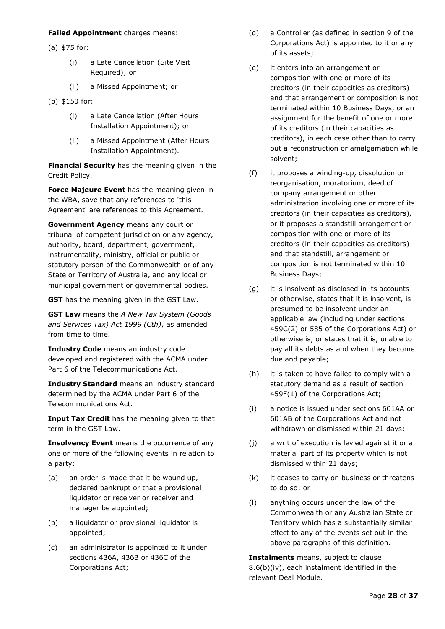#### **Failed Appointment** charges means:

(a) \$75 for:

- (i) a Late Cancellation (Site Visit Required); or
- (ii) a Missed Appointment; or
- (b) \$150 for:
	- (i) a Late Cancellation (After Hours Installation Appointment); or
	- (ii) a Missed Appointment (After Hours Installation Appointment).

**Financial Security** has the meaning given in the Credit Policy.

**Force Majeure Event** has the meaning given in the WBA, save that any references to 'this Agreement' are references to this Agreement.

**Government Agency** means any court or tribunal of competent jurisdiction or any agency, authority, board, department, government, instrumentality, ministry, official or public or statutory person of the Commonwealth or of any State or Territory of Australia, and any local or municipal government or governmental bodies.

**GST** has the meaning given in the GST Law.

**GST Law** means the *A New Tax System (Goods and Services Tax) Act 1999 (Cth)*, as amended from time to time.

**Industry Code** means an industry code developed and registered with the ACMA under Part 6 of the Telecommunications Act.

**Industry Standard** means an industry standard determined by the ACMA under Part 6 of the Telecommunications Act.

**Input Tax Credit** has the meaning given to that term in the GST Law.

**Insolvency Event** means the occurrence of any one or more of the following events in relation to a party:

- (a) an order is made that it be wound up, declared bankrupt or that a provisional liquidator or receiver or receiver and manager be appointed;
- (b) a liquidator or provisional liquidator is appointed;
- (c) an administrator is appointed to it under sections 436A, 436B or 436C of the Corporations Act;
- (d) a Controller (as defined in section 9 of the Corporations Act) is appointed to it or any of its assets;
- (e) it enters into an arrangement or composition with one or more of its creditors (in their capacities as creditors) and that arrangement or composition is not terminated within 10 Business Days, or an assignment for the benefit of one or more of its creditors (in their capacities as creditors), in each case other than to carry out a reconstruction or amalgamation while solvent;
- (f) it proposes a winding-up, dissolution or reorganisation, moratorium, deed of company arrangement or other administration involving one or more of its creditors (in their capacities as creditors), or it proposes a standstill arrangement or composition with one or more of its creditors (in their capacities as creditors) and that standstill, arrangement or composition is not terminated within 10 Business Days;
- (g) it is insolvent as disclosed in its accounts or otherwise, states that it is insolvent, is presumed to be insolvent under an applicable law (including under sections 459C(2) or 585 of the Corporations Act) or otherwise is, or states that it is, unable to pay all its debts as and when they become due and payable;
- (h) it is taken to have failed to comply with a statutory demand as a result of section 459F(1) of the Corporations Act;
- (i) a notice is issued under sections 601AA or 601AB of the Corporations Act and not withdrawn or dismissed within 21 days;
- (j) a writ of execution is levied against it or a material part of its property which is not dismissed within 21 days;
- (k) it ceases to carry on business or threatens to do so; or
- (l) anything occurs under the law of the Commonwealth or any Australian State or Territory which has a substantially similar effect to any of the events set out in the above paragraphs of this definition.

**Instalments** means, subject to clause [8.6\(b\)\(iv\),](#page-15-5) each instalment identified in the relevant Deal Module.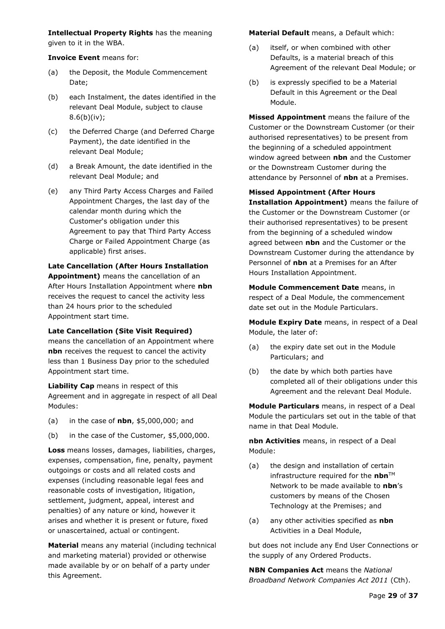**Intellectual Property Rights** has the meaning given to it in the WBA.

**Invoice Event** means for:

- (a) the Deposit, the Module Commencement Date;
- (b) each Instalment, the dates identified in the relevant Deal Module, subject to clause  $8.6(b)(iv)$ ;
- (c) the Deferred Charge (and Deferred Charge Payment), the date identified in the relevant Deal Module;
- (d) a Break Amount, the date identified in the relevant Deal Module; and
- (e) any Third Party Access Charges and Failed Appointment Charges, the last day of the calendar month during which the Customer's obligation under this Agreement to pay that Third Party Access Charge or Failed Appointment Charge (as applicable) first arises.

#### **Late Cancellation (After Hours Installation Appointment)** means the cancellation of an After Hours Installation Appointment where **nbn** receives the request to cancel the activity less than 24 hours prior to the scheduled Appointment start time.

**Late Cancellation (Site Visit Required)**  means the cancellation of an Appointment where **nbn** receives the request to cancel the activity less than 1 Business Day prior to the scheduled Appointment start time.

**Liability Cap** means in respect of this Agreement and in aggregate in respect of all Deal Modules:

- (a) in the case of **nbn**, \$5,000,000; and
- (b) in the case of the Customer, \$5,000,000.

**Loss** means losses, damages, liabilities, charges, expenses, compensation, fine, penalty, payment outgoings or costs and all related costs and expenses (including reasonable legal fees and reasonable costs of investigation, litigation, settlement, judgment, appeal, interest and penalties) of any nature or kind, however it arises and whether it is present or future, fixed or unascertained, actual or contingent.

**Material** means any material (including technical and marketing material) provided or otherwise made available by or on behalf of a party under this Agreement.

**Material Default** means, a Default which:

- (a) itself, or when combined with other Defaults, is a material breach of this Agreement of the relevant Deal Module; or
- (b) is expressly specified to be a Material Default in this Agreement or the Deal Module.

**Missed Appointment** means the failure of the Customer or the Downstream Customer (or their authorised representatives) to be present from the beginning of a scheduled appointment window agreed between **nbn** and the Customer or the Downstream Customer during the attendance by Personnel of **nbn** at a Premises.

**Missed Appointment (After Hours Installation Appointment)** means the failure of the Customer or the Downstream Customer (or their authorised representatives) to be present from the beginning of a scheduled window agreed between **nbn** and the Customer or the Downstream Customer during the attendance by Personnel of **nbn** at a Premises for an After Hours Installation Appointment.

**Module Commencement Date** means, in respect of a Deal Module, the commencement date set out in the Module Particulars.

**Module Expiry Date** means, in respect of a Deal Module, the later of:

- (a) the expiry date set out in the Module Particulars; and
- (b) the date by which both parties have completed all of their obligations under this Agreement and the relevant Deal Module.

**Module Particulars** means, in respect of a Deal Module the particulars set out in the table of that name in that Deal Module.

**nbn Activities** means, in respect of a Deal Module:

- (a) the design and installation of certain infrastructure required for the **nbn**™ Network to be made available to **nbn**'s customers by means of the Chosen Technology at the Premises; and
- (a) any other activities specified as **nbn**  Activities in a Deal Module,

but does not include any End User Connections or the supply of any Ordered Products.

**NBN Companies Act** means the *National Broadband Network Companies Act 2011* (Cth).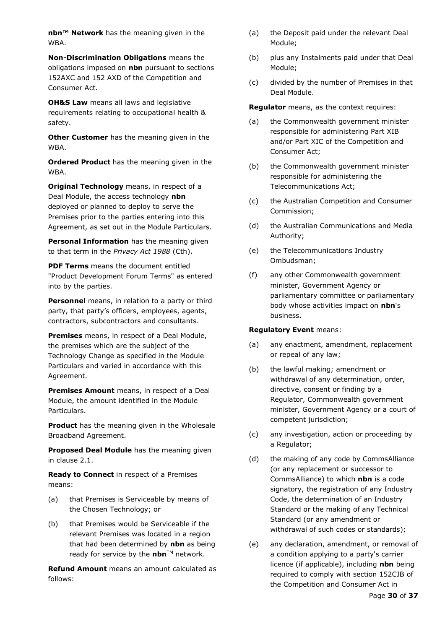**nbn™ Network** has the meaning given in the WBA.

**Non-Discrimination Obligations** means the obligations imposed on **nbn** pursuant to sections 152AXC and 152 AXD of the Competition and Consumer Act.

**OH&S Law** means all laws and legislative requirements relating to occupational health & safety.

**Other Customer** has the meaning given in the WBA.

**Ordered Product** has the meaning given in the WBA.

**Original Technology** means, in respect of a Deal Module, the access technology **nbn** deployed or planned to deploy to serve the Premises prior to the parties entering into this Agreement, as set out in the Module Particulars.

**Personal Information** has the meaning given to that term in the *Privacy Act 1988* (Cth).

**PDF Terms** means the document entitled "Product Development Forum Terms" as entered into by the parties.

**Personnel** means, in relation to a party or third party, that party's officers, employees, agents, contractors, subcontractors and consultants.

**Premises** means, in respect of a Deal Module, the premises which are the subject of the Technology Change as specified in the Module Particulars and varied in accordance with this Agreement.

**Premises Amount** means, in respect of a Deal Module, the amount identified in the Module Particulars.

**Product** has the meaning given in the Wholesale Broadband Agreement.

**Proposed Deal Module** has the meaning given in clause [2.1.](#page-6-5)

**Ready to Connect** in respect of a Premises means:

- (a) that Premises is Serviceable by means of the Chosen Technology; or
- (b) that Premises would be Serviceable if the relevant Premises was located in a region that had been determined by **nbn** as being ready for service by the **nbn**™ network.

**Refund Amount** means an amount calculated as follows:

- (a) the Deposit paid under the relevant Deal Module;
- (b) plus any Instalments paid under that Deal Module;
- (c) divided by the number of Premises in that Deal Module.

**Regulator** means, as the context requires:

- (a) the Commonwealth government minister responsible for administering Part XIB and/or Part XIC of the Competition and Consumer Act;
- (b) the Commonwealth government minister responsible for administering the Telecommunications Act;
- (c) the Australian Competition and Consumer Commission;
- (d) the Australian Communications and Media Authority;
- (e) the Telecommunications Industry Ombudsman;
- (f) any other Commonwealth government minister, Government Agency or parliamentary committee or parliamentary body whose activities impact on **nbn**'s business.

#### **Regulatory Event** means:

- (a) any enactment, amendment, replacement or repeal of any law;
- (b) the lawful making; amendment or withdrawal of any determination, order, directive, consent or finding by a Regulator, Commonwealth government minister, Government Agency or a court of competent jurisdiction;
- (c) any investigation, action or proceeding by a Regulator;
- (d) the making of any code by CommsAlliance (or any replacement or successor to CommsAlliance) to which **nbn** is a code signatory, the registration of any Industry Code, the determination of an Industry Standard or the making of any Technical Standard (or any amendment or withdrawal of such codes or standards);
- (e) any declaration, amendment, or removal of a condition applying to a party's carrier licence (if applicable), including **nbn** being required to comply with section 152CJB of the Competition and Consumer Act in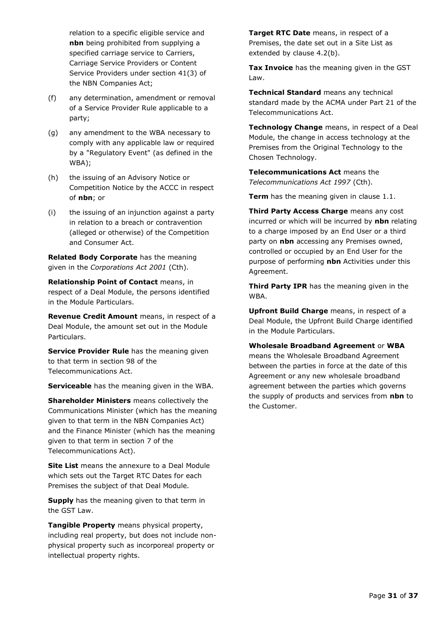relation to a specific eligible service and **nbn** being prohibited from supplying a specified carriage service to Carriers, Carriage Service Providers or Content Service Providers under section 41(3) of the NBN Companies Act;

- (f) any determination, amendment or removal of a Service Provider Rule applicable to a party;
- (g) any amendment to the WBA necessary to comply with any applicable law or required by a "Regulatory Event" (as defined in the WBA);
- (h) the issuing of an Advisory Notice or Competition Notice by the ACCC in respect of **nbn**; or
- (i) the issuing of an injunction against a party in relation to a breach or contravention (alleged or otherwise) of the Competition and Consumer Act.

**Related Body Corporate** has the meaning given in the *Corporations Act 2001* (Cth).

**Relationship Point of Contact** means, in respect of a Deal Module, the persons identified in the Module Particulars.

**Revenue Credit Amount** means, in respect of a Deal Module, the amount set out in the Module Particulars.

**Service Provider Rule** has the meaning given to that term in section 98 of the Telecommunications Act.

**Serviceable** has the meaning given in the WBA.

**Shareholder Ministers** means collectively the Communications Minister (which has the meaning given to that term in the NBN Companies Act) and the Finance Minister (which has the meaning given to that term in section 7 of the Telecommunications Act).

**Site List** means the annexure to a Deal Module which sets out the Target RTC Dates for each Premises the subject of that Deal Module.

**Supply** has the meaning given to that term in the GST Law.

**Tangible Property** means physical property, including real property, but does not include nonphysical property such as incorporeal property or intellectual property rights.

**Target RTC Date** means, in respect of a Premises, the date set out in a Site List as extended by clause [4.2\(b\).](#page-10-7)

**Tax Invoice** has the meaning given in the GST Law.

**Technical Standard** means any technical standard made by the ACMA under Part 21 of the Telecommunications Act.

**Technology Change** means, in respect of a Deal Module, the change in access technology at the Premises from the Original Technology to the Chosen Technology.

**Telecommunications Act** means the *Telecommunications Act 1997* (Cth).

**Term** has the meaning given in clause [1.1.](#page-6-2)

**Third Party Access Charge** means any cost incurred or which will be incurred by **nbn** relating to a charge imposed by an End User or a third party on **nbn** accessing any Premises owned, controlled or occupied by an End User for the purpose of performing **nbn** Activities under this Agreement.

**Third Party IPR** has the meaning given in the WBA.

**Upfront Build Charge** means, in respect of a Deal Module, the Upfront Build Charge identified in the Module Particulars.

**Wholesale Broadband Agreement** or **WBA** means the Wholesale Broadband Agreement between the parties in force at the date of this Agreement or any new wholesale broadband agreement between the parties which governs the supply of products and services from **nbn** to the Customer.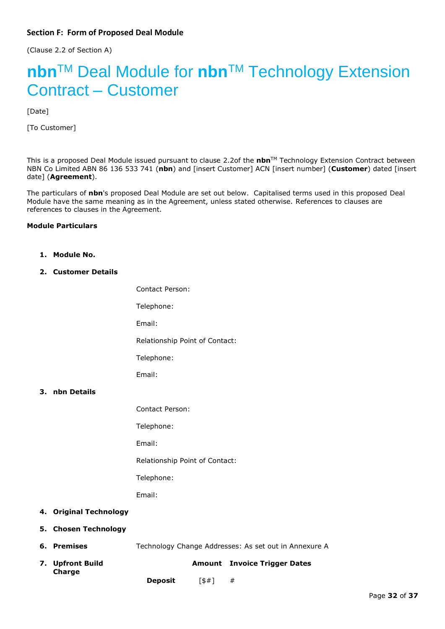<span id="page-31-0"></span>(Clause [2.2](#page-6-6) of Section A)

# **nbn**TM Deal Module for **nbn**TM Technology Extension Contract – Customer

[Date]

[To Customer]

This is a proposed Deal Module issued pursuant to clause [2.2o](#page-6-6)f the **nbn**TM Technology Extension Contract between NBN Co Limited ABN 86 136 533 741 (**nbn**) and [insert Customer] ACN [insert number] (**Customer**) dated [insert date] (**Agreement**).

The particulars of **nbn**'s proposed Deal Module are set out below. Capitalised terms used in this proposed Deal Module have the same meaning as in the Agreement, unless stated otherwise. References to clauses are references to clauses in the Agreement.

#### **Module Particulars**

- **1. Module No.**
- **2. Customer Details**

Contact Person: Telephone: Email: Relationship Point of Contact: Telephone: Email:

- **3. nbn Details**
- Contact Person: Telephone: Email: Relationship Point of Contact: Telephone: Email:
- **4. Original Technology**
- **5. Chosen Technology**
- **6. Premises** Technology Change Addresses: As set out in Annexure A
- **7. Upfront Build Charge Amount Invoice Trigger Dates Deposit** [\$#] #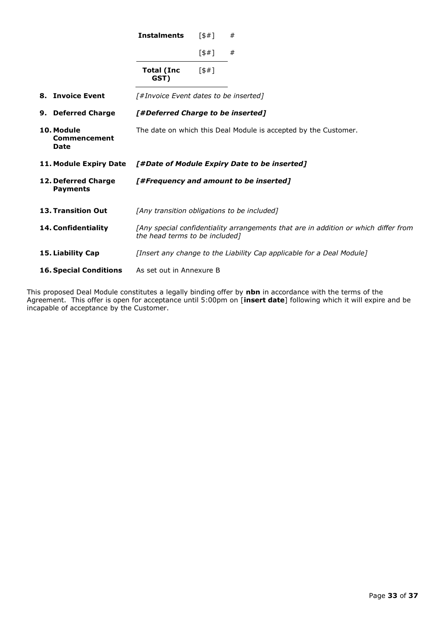|                                           | <b>Instalments</b>                          | 5#1   | #                                                                                   |
|-------------------------------------------|---------------------------------------------|-------|-------------------------------------------------------------------------------------|
|                                           |                                             | [\$#] | #                                                                                   |
|                                           | Total (Inc<br>GST)                          | 5#1   |                                                                                     |
| 8. Invoice Event                          | [#Invoice Event dates to be inserted]       |       |                                                                                     |
| 9. Deferred Charge                        | [#Deferred Charge to be inserted]           |       |                                                                                     |
| 10. Module<br>Commencement<br><b>Date</b> |                                             |       | The date on which this Deal Module is accepted by the Customer.                     |
|                                           |                                             |       |                                                                                     |
| 11. Module Expiry Date                    |                                             |       | [#Date of Module Expiry Date to be inserted]                                        |
| 12. Deferred Charge<br><b>Payments</b>    |                                             |       | [#Frequency and amount to be inserted]                                              |
| <b>13. Transition Out</b>                 | [Any transition obligations to be included] |       |                                                                                     |
| 14. Confidentiality                       | the head terms to be included]              |       | [Any special confidentiality arrangements that are in addition or which differ from |
| 15. Liability Cap                         |                                             |       | [Insert any change to the Liability Cap applicable for a Deal Module]               |

This proposed Deal Module constitutes a legally binding offer by **nbn** in accordance with the terms of the Agreement. This offer is open for acceptance until 5:00pm on [**insert date**] following which it will expire and be incapable of acceptance by the Customer.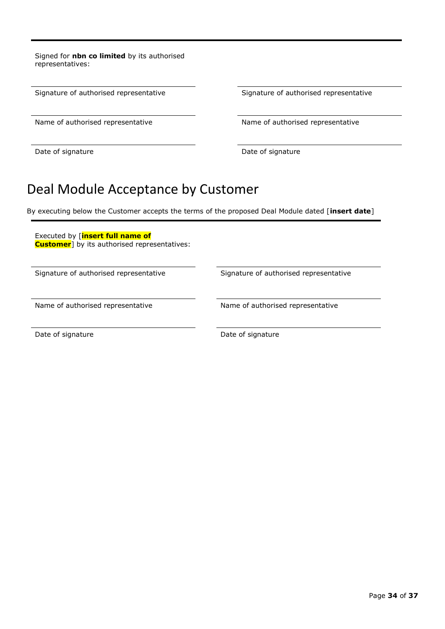Signed for **nbn co limited** by its authorised representatives:

Signature of authorised representative Signature of authorised representative

Date of signature Date of signature

Name of authorised representative Name of authorised representative

## Deal Module Acceptance by Customer

By executing below the Customer accepts the terms of the proposed Deal Module dated [**insert date**]

Executed by [**insert full name of Customer**] by its authorised representatives:

Signature of authorised representative Signature of authorised representative

Name of authorised representative Name of authorised representative

Date of signature Date of signature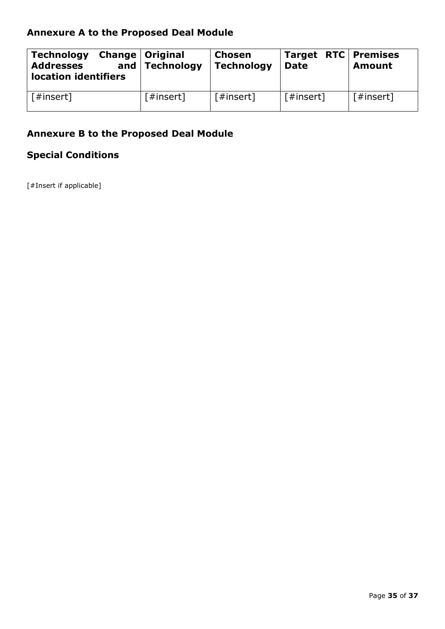## **Annexure A to the Proposed Deal Module**

| <b>Technology</b><br><b>Addresses</b><br>location identifiers | <b>Change   Original</b><br>and $ $ Technology | Chosen<br><b>Technology</b> | Target RTC Premises<br><b>Date</b> | <b>Amount</b> |
|---------------------------------------------------------------|------------------------------------------------|-----------------------------|------------------------------------|---------------|
| [#insert]                                                     | $[$ #insert]                                   | [#insert]                   | [#insert]                          | [#insert]     |

## **Annexure B to the Proposed Deal Module**

## **Special Conditions**

[#Insert if applicable]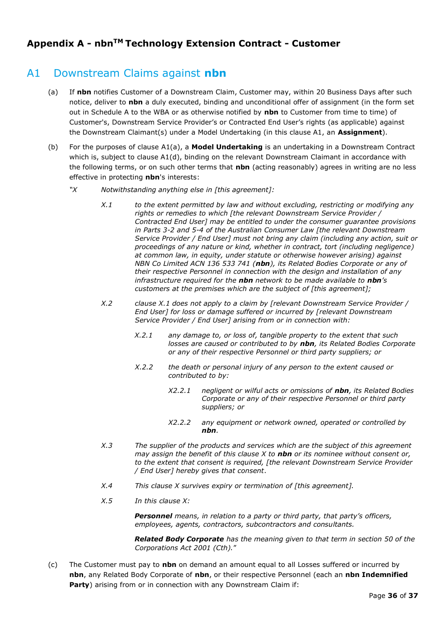## **Appendix A - nbnTM Technology Extension Contract - Customer**

## <span id="page-35-0"></span>A1 Downstream Claims against **nbn**

- (a) If **nbn** notifies Customer of a Downstream Claim, Customer may, within 20 Business Days after such notice, deliver to **nbn** a duly executed, binding and unconditional offer of assignment (in the form set out in Schedule A to the WBA or as otherwise notified by **nbn** to Customer from time to time) of Customer's, Downstream Service Provider's or Contracted End User's rights (as applicable) against the Downstream Claimant(s) under a Model Undertaking (in this clause A1, an **Assignment**).
- <span id="page-35-1"></span>(b) For the purposes of clause A[1\(a\),](#page-35-0) a **Model Undertaking** is an undertaking in a Downstream Contract which is, subject to clause A[1\(d\),](#page-36-0) binding on the relevant Downstream Claimant in accordance with the following terms, or on such other terms that **nbn** (acting reasonably) agrees in writing are no less effective in protecting **nbn**'s interests:
	- *"X Notwithstanding anything else in [this agreement]:*
		- *X.1 to the extent permitted by law and without excluding, restricting or modifying any rights or remedies to which [the relevant Downstream Service Provider / Contracted End User] may be entitled to under the consumer guarantee provisions in Parts 3-2 and 5-4 of the Australian Consumer Law [the relevant Downstream Service Provider / End User] must not bring any claim (including any action, suit or proceedings of any nature or kind, whether in contract, tort (including negligence) at common law, in equity, under statute or otherwise however arising) against NBN Co Limited ACN 136 533 741 (nbn), its Related Bodies Corporate or any of their respective Personnel in connection with the design and installation of any infrastructure required for the nbn network to be made available to nbn's customers at the premises which are the subject of [this agreement];*
		- *X.2 clause X.1 does not apply to a claim by [relevant Downstream Service Provider / End User] for loss or damage suffered or incurred by [relevant Downstream Service Provider / End User] arising from or in connection with:*
			- *X.2.1 any damage to, or loss of, tangible property to the extent that such losses are caused or contributed to by nbn, its Related Bodies Corporate or any of their respective Personnel or third party suppliers; or*
			- *X.2.2 the death or personal injury of any person to the extent caused or contributed to by:*
				- *X2.2.1 negligent or wilful acts or omissions of nbn, its Related Bodies Corporate or any of their respective Personnel or third party suppliers; or*
				- *X2.2.2 any equipment or network owned, operated or controlled by nbn.*
		- *X.3 The supplier of the products and services which are the subject of this agreement may assign the benefit of this clause X to nbn or its nominee without consent or, to the extent that consent is required, [the relevant Downstream Service Provider / End User] hereby gives that consent*.
		- *X.4 This clause X survives expiry or termination of [this agreement].*
		- *X.5 In this clause X:*

*Personnel means, in relation to a party or third party, that party's officers, employees, agents, contractors, subcontractors and consultants.*

*Related Body Corporate has the meaning given to that term in section 50 of the Corporations Act 2001 (Cth).*"

<span id="page-35-2"></span>(c) The Customer must pay to **nbn** on demand an amount equal to all Losses suffered or incurred by **nbn**, any Related Body Corporate of **nbn**, or their respective Personnel (each an **nbn Indemnified**  Party) arising from or in connection with any Downstream Claim if: